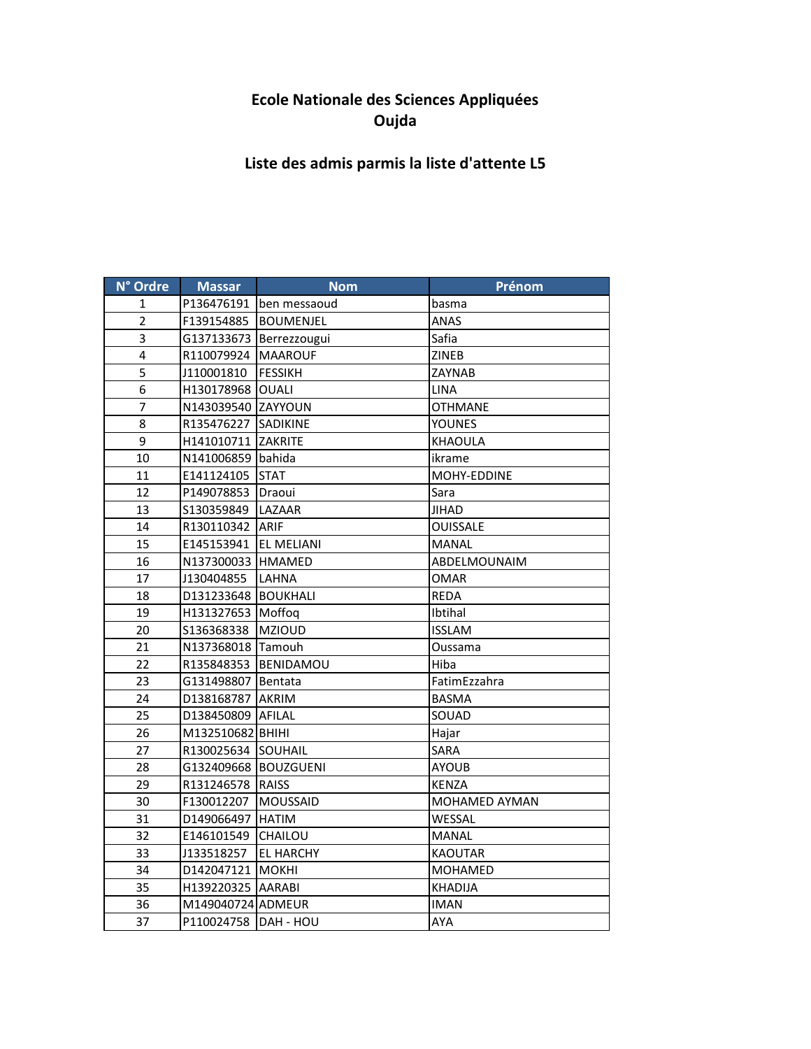## **Ecole Nationale des Sciences Appliquées Oujda**

## **Liste des admis parmis la liste d'attente L5**

| N° Ordre       | <b>Massar</b>           | <b>Nom</b>                | Prénom          |
|----------------|-------------------------|---------------------------|-----------------|
| 1              |                         | P136476191   ben messaoud | basma           |
| $\overline{2}$ | F139154885              | <b>BOUMENJEL</b>          | ANAS            |
| 3              |                         | G137133673 Berrezzougui   | Safia           |
| 4              | R110079924 MAAROUF      |                           | <b>ZINEB</b>    |
| 5              | J110001810              | <b>FESSIKH</b>            | ZAYNAB          |
| 6              | H130178968 OUALI        |                           | <b>LINA</b>     |
| $\overline{7}$ | N143039540 ZAYYOUN      |                           | <b>OTHMANE</b>  |
| 8              | R135476227 SADIKINE     |                           | <b>YOUNES</b>   |
| 9              | H141010711 ZAKRITE      |                           | <b>KHAOULA</b>  |
| 10             | N141006859 bahida       |                           | ikrame          |
| 11             | E141124105              | <b>STAT</b>               | MOHY-EDDINE     |
| 12             | P149078853 Draoui       |                           | Sara            |
| 13             | S130359849   LAZAAR     |                           | <b>JIHAD</b>    |
| 14             | R130110342 ARIF         |                           | <b>OUISSALE</b> |
| 15             | E145153941   EL MELIANI |                           | <b>MANAL</b>    |
| 16             | N137300033 HMAMED       |                           | ABDELMOUNAIM    |
| 17             | J130404855              | LAHNA                     | <b>OMAR</b>     |
| 18             | D131233648 BOUKHALI     |                           | <b>REDA</b>     |
| 19             | H131327653 Moffoq       |                           | Ibtihal         |
| 20             | S136368338   MZIOUD     |                           | <b>ISSLAM</b>   |
| 21             | N137368018 Tamouh       |                           | Oussama         |
| 22             |                         | R135848353 BENIDAMOU      | Hiba            |
| 23             | G131498807 Bentata      |                           | FatimEzzahra    |
| 24             | D138168787 AKRIM        |                           | <b>BASMA</b>    |
| 25             | D138450809 AFILAL       |                           | SOUAD           |
| 26             | M132510682 BHIHI        |                           | Hajar           |
| 27             | R130025634 SOUHAIL      |                           | <b>SARA</b>     |
| 28             | G132409668 BOUZGUENI    |                           | AYOUB           |
| 29             | R131246578 RAISS        |                           | KENZA           |
| 30             | F130012207              | <b>MOUSSAID</b>           | MOHAMED AYMAN   |
| 31             | D149066497 HATIM        |                           | WESSAL          |
| 32             | E146101549              | CHAILOU                   | MANAL           |
| 33             | J133518257              | <b>EL HARCHY</b>          | <b>KAOUTAR</b>  |
| 34             | D142047121 MOKHI        |                           | <b>MOHAMED</b>  |
| 35             | H139220325 AARABI       |                           | <b>KHADIJA</b>  |
| 36             | M149040724 ADMEUR       |                           | <b>IMAN</b>     |
| 37             | P110024758 DAH - HOU    |                           | AYA             |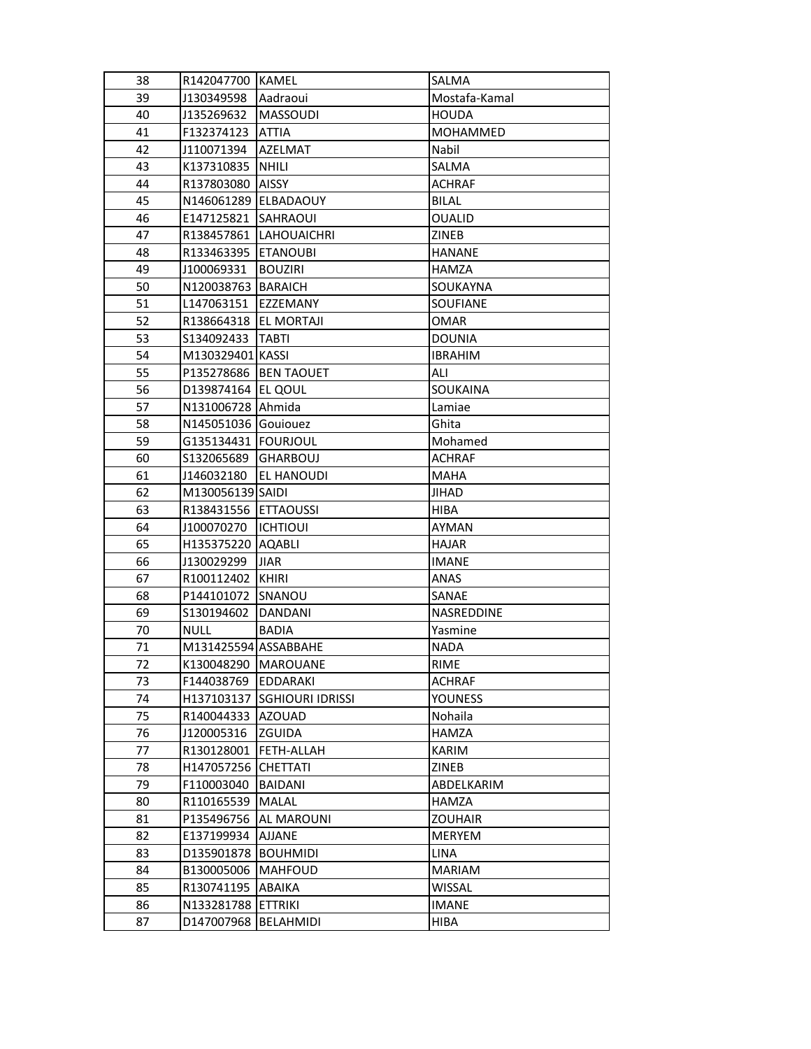| 38 | R142047700 KAMEL        |                             | SALMA           |
|----|-------------------------|-----------------------------|-----------------|
| 39 | J130349598              | Aadraoui                    | Mostafa-Kamal   |
| 40 | J135269632              | <b>MASSOUDI</b>             | <b>HOUDA</b>    |
| 41 | F132374123              | <b>ATTIA</b>                | MOHAMMED        |
| 42 | J110071394              | <b>AZELMAT</b>              | Nabil           |
| 43 | K137310835 NHILI        |                             | SALMA           |
| 44 | R137803080              | <b>AISSY</b>                | <b>ACHRAF</b>   |
| 45 | N146061289   ELBADAOUY  |                             | <b>BILAL</b>    |
| 46 | E147125821              | <b>SAHRAOUI</b>             | <b>OUALID</b>   |
| 47 | R138457861              | LAHOUAICHRI                 | ZINEB           |
| 48 | R133463395              | <b>ETANOUBI</b>             | <b>HANANE</b>   |
| 49 | J100069331              | <b>BOUZIRI</b>              | <b>HAMZA</b>    |
| 50 | N120038763   BARAICH    |                             | SOUKAYNA        |
| 51 | L147063151              | <b>IEZZEMANY</b>            | <b>SOUFIANE</b> |
| 52 | R138664318   EL MORTAJI |                             | <b>OMAR</b>     |
| 53 | S134092433              | <b>TABTI</b>                | <b>DOUNIA</b>   |
| 54 | M130329401 KASSI        |                             | <b>IBRAHIM</b>  |
| 55 | P135278686 BEN TAOUET   |                             | ALI             |
| 56 | D139874164 EL QOUL      |                             | SOUKAINA        |
| 57 | N131006728 Ahmida       |                             | Lamiae          |
| 58 | N145051036 Gouiouez     |                             | Ghita           |
| 59 | G135134431 FOURJOUL     |                             | Mohamed         |
| 60 | S132065689              | <b>GHARBOUJ</b>             | <b>ACHRAF</b>   |
| 61 | J146032180              | <b>EL HANOUDI</b>           | <b>MAHA</b>     |
| 62 | M130056139 SAIDI        |                             | <b>JIHAD</b>    |
| 63 | R138431556 ETTAOUSSI    |                             | <b>HIBA</b>     |
| 64 | J100070270              | <b>ICHTIOUI</b>             | <b>AYMAN</b>    |
| 65 | H135375220 AQABLI       |                             | <b>HAJAR</b>    |
| 66 | J130029299              | <b>JIAR</b>                 | <b>IMANE</b>    |
| 67 | R100112402 KHIRI        |                             | <b>ANAS</b>     |
| 68 | P144101072 SNANOU       |                             | SANAE           |
| 69 | S130194602              | DANDANI                     | NASREDDINE      |
| 70 | <b>NULL</b>             | <b>BADIA</b>                | Yasmine         |
| 71 | M131425594 ASSABBAHE    |                             | <b>NADA</b>     |
| 72 | K130048290   MAROUANE   |                             | RIME            |
| 73 | F144038769   EDDARAKI   |                             | <b>ACHRAF</b>   |
| 74 |                         | H137103137 SGHIOURI IDRISSI | <b>YOUNESS</b>  |
| 75 | R140044333 AZOUAD       |                             | Nohaila         |
| 76 | J120005316              | ZGUIDA                      | <b>HAMZA</b>    |
| 77 | R130128001              | FETH-ALLAH                  | KARIM           |
| 78 | H147057256              | <b>CHETTATI</b>             | ZINEB           |
| 79 | F110003040              | BAIDANI                     | ABDELKARIM      |
| 80 | R110165539              | <b>MALAL</b>                | HAMZA           |
| 81 | P135496756              | AL MAROUNI                  | <b>ZOUHAIR</b>  |
| 82 | E137199934              | <b>AJJANE</b>               | MERYEM          |
| 83 | D135901878 BOUHMIDI     |                             | LINA            |
| 84 | B130005006              | <b>MAHFOUD</b>              | MARIAM          |
| 85 | R130741195              | ABAIKA                      | <b>WISSAL</b>   |
| 86 | N133281788 ETTRIKI      |                             | <b>IMANE</b>    |
| 87 | D147007968              | BELAHMIDI                   | HIBA            |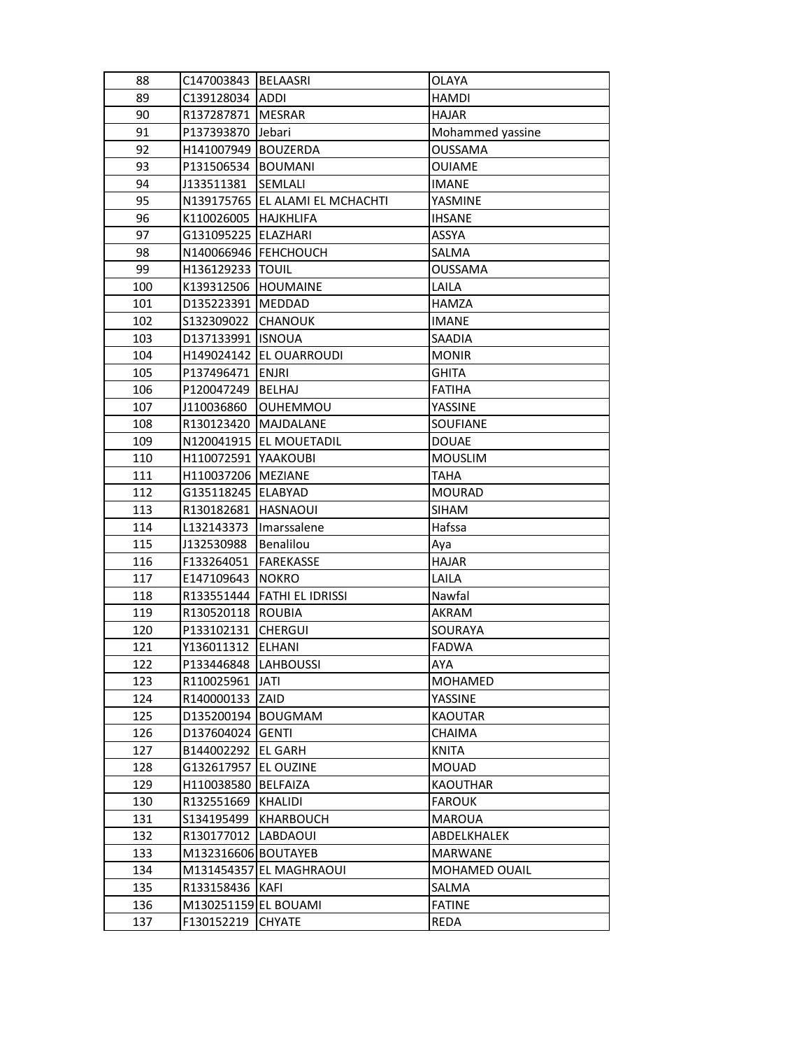| 88  | C147003843   BELAASRI  |                                 | OLAYA                |
|-----|------------------------|---------------------------------|----------------------|
| 89  | C139128034 ADDI        |                                 | <b>HAMDI</b>         |
| 90  | R137287871 MESRAR      |                                 | <b>HAJAR</b>         |
| 91  | P137393870             | Jebari                          | Mohammed yassine     |
| 92  | H141007949 BOUZERDA    |                                 | <b>OUSSAMA</b>       |
| 93  | P131506534  BOUMANI    |                                 | <b>OUIAME</b>        |
| 94  | J133511381             | SEMLALI                         | <b>IMANE</b>         |
| 95  |                        | N139175765 EL ALAMI EL MCHACHTI | YASMINE              |
| 96  | K110026005             | <b>HAJKHLIFA</b>                | <b>IHSANE</b>        |
| 97  | G131095225             | <b>ELAZHARI</b>                 | ASSYA                |
| 98  | N140066946   FEHCHOUCH |                                 | SALMA                |
| 99  | H136129233  TOUIL      |                                 | <b>OUSSAMA</b>       |
| 100 | K139312506 HOUMAINE    |                                 | LAILA                |
| 101 | D135223391   MEDDAD    |                                 | <b>HAMZA</b>         |
| 102 | S132309022 CHANOUK     |                                 | <b>IMANE</b>         |
| 103 | D137133991 ISNOUA      |                                 | SAADIA               |
| 104 |                        | H149024142 EL OUARROUDI         | <b>MONIR</b>         |
| 105 | P137496471             | <b>ENJRI</b>                    | <b>GHITA</b>         |
| 106 | P120047249             | <b>BELHAJ</b>                   | <b>FATIHA</b>        |
| 107 | J110036860             | <b>OUHEMMOU</b>                 | <b>YASSINE</b>       |
| 108 | R130123420             | <b>MAJDALANE</b>                | <b>SOUFIANE</b>      |
| 109 |                        | N120041915 EL MOUETADIL         | <b>DOUAE</b>         |
| 110 | H110072591             | YAAKOUBI                        | <b>MOUSLIM</b>       |
| 111 | H110037206   MEZIANE   |                                 | <b>TAHA</b>          |
| 112 | G135118245   ELABYAD   |                                 | <b>MOURAD</b>        |
| 113 | R130182681   HASNAOUI  |                                 | <b>SIHAM</b>         |
| 114 | L132143373             | Imarssalene                     | Hafssa               |
| 115 | J132530988             | Benalilou                       | Aya                  |
| 116 | F133264051             | FAREKASSE                       | <b>HAJAR</b>         |
| 117 | E147109643             | NOKRO                           | LAILA                |
| 118 |                        | R133551444   FATHI EL IDRISSI   | Nawfal               |
| 119 | R130520118             | <b>ROUBIA</b>                   | <b>AKRAM</b>         |
| 120 | P133102131             | <b>CHERGUI</b>                  | SOURAYA              |
| 121 | Y136011312             | <b>ELHANI</b>                   | <b>FADWA</b>         |
| 122 | P133446848  LAHBOUSSI  |                                 | AYA                  |
| 123 | R110025961 JATI        |                                 | MOHAMED              |
| 124 | R140000133 ZAID        |                                 | YASSINE              |
| 125 | D135200194 BOUGMAM     |                                 | <b>KAOUTAR</b>       |
| 126 | D137604024 GENTI       |                                 | <b>CHAIMA</b>        |
| 127 | B144002292             | <b>EL GARH</b>                  | <b>KNITA</b>         |
| 128 | G132617957             | <b>EL OUZINE</b>                | <b>MOUAD</b>         |
| 129 | H110038580             | <b>BELFAIZA</b>                 | <b>KAOUTHAR</b>      |
| 130 | R132551669             | KHALIDI                         | <b>FAROUK</b>        |
| 131 | S134195499             | KHARBOUCH                       | <b>MAROUA</b>        |
| 132 | R130177012 LABDAOUI    |                                 | ABDELKHALEK          |
| 133 | M132316606 BOUTAYEB    |                                 | MARWANE              |
| 134 |                        | M131454357 EL MAGHRAOUI         | <b>MOHAMED OUAIL</b> |
| 135 | R133158436   KAFI      |                                 | SALMA                |
| 136 | M130251159 EL BOUAMI   |                                 | <b>FATINE</b>        |
| 137 | F130152219             | <b>CHYATE</b>                   | REDA                 |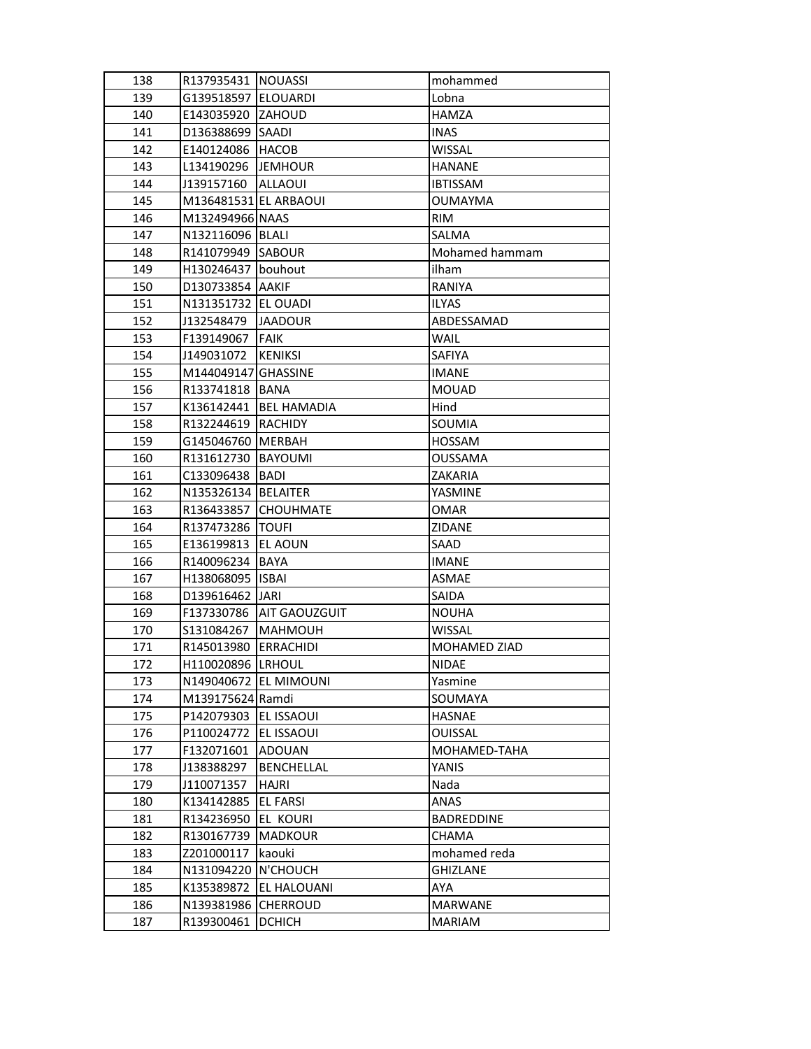| 138 | R137935431   NOUASSI  |                       | mohammed          |
|-----|-----------------------|-----------------------|-------------------|
| 139 | G139518597   ELOUARDI |                       | Lobna             |
| 140 | E143035920 ZAHOUD     |                       | <b>HAMZA</b>      |
| 141 | D136388699 SAADI      |                       | <b>INAS</b>       |
| 142 | E140124086 HACOB      |                       | <b>WISSAL</b>     |
| 143 | L134190296 JJEMHOUR   |                       | <b>HANANE</b>     |
| 144 | J139157160            | <b>ALLAOUI</b>        | <b>IBTISSAM</b>   |
| 145 | M136481531 EL ARBAOUI |                       | OUMAYMA           |
| 146 | M132494966 NAAS       |                       | RIM               |
| 147 | N132116096 BLALI      |                       | SALMA             |
| 148 | R141079949            | <b>SABOUR</b>         | Mohamed hammam    |
| 149 | H130246437   bouhout  |                       | ilham             |
| 150 | D130733854 AAKIF      |                       | RANIYA            |
| 151 | N131351732   EL OUADI |                       | <b>ILYAS</b>      |
| 152 | J132548479            | <b>JAADOUR</b>        | ABDESSAMAD        |
| 153 | F139149067            | <b>FAIK</b>           | <b>WAIL</b>       |
| 154 | J149031072            | <b>KENIKSI</b>        | SAFIYA            |
| 155 | M144049147 GHASSINE   |                       | <b>IMANE</b>      |
| 156 | R133741818            | <b>BANA</b>           | <b>MOUAD</b>      |
| 157 | K136142441            | <b>BEL HAMADIA</b>    | Hind              |
| 158 | R132244619            | RACHIDY               | SOUMIA            |
| 159 | G145046760            | MERBAH                | <b>HOSSAM</b>     |
| 160 | R131612730            | <b>BAYOUMI</b>        | <b>OUSSAMA</b>    |
| 161 | C133096438            | <b>BADI</b>           | ZAKARIA           |
| 162 | N135326134   BELAITER |                       | YASMINE           |
| 163 | R136433857            | <b>CHOUHMATE</b>      | OMAR              |
| 164 | R137473286   TOUFI    |                       | ZIDANE            |
| 165 | E136199813            | <b>EL AOUN</b>        | SAAD              |
| 166 | R140096234            | <b>BAYA</b>           | <b>IMANE</b>      |
| 167 | H138068095            | <b>ISBAI</b>          | <b>ASMAE</b>      |
| 168 | D139616462   JARI     |                       | SAIDA             |
| 169 | F137330786            | AIT GAOUZGUIT         | <b>NOUHA</b>      |
| 170 | S131084267            | <b>MAHMOUH</b>        | <b>WISSAL</b>     |
| 171 | R145013980 ERRACHIDI  |                       | MOHAMED ZIAD      |
| 172 | H110020896 LRHOUL     |                       | NIDAE             |
| 173 |                       | N149040672 EL MIMOUNI | Yasmine           |
| 174 | M139175624 Ramdi      |                       | SOUMAYA           |
| 175 | P142079303            | EL ISSAOUI            | HASNAE            |
| 176 | P110024772            | <b>EL ISSAOUI</b>     | <b>OUISSAL</b>    |
| 177 | F132071601            | ADOUAN                | MOHAMED-TAHA      |
| 178 | J138388297            | <b>BENCHELLAL</b>     | YANIS             |
| 179 | J110071357            | HAJRI                 | Nada              |
| 180 | K134142885            | <b>EL FARSI</b>       | ANAS              |
| 181 | R134236950            | EL KOURI              | <b>BADREDDINE</b> |
| 182 | R130167739            | <b>MADKOUR</b>        | CHAMA             |
| 183 | Z201000117            | kaouki                | mohamed reda      |
| 184 | N131094220            | N'CHOUCH              | <b>GHIZLANE</b>   |
| 185 | K135389872            | <b>EL HALOUANI</b>    | AYA               |
| 186 | N139381986            | CHERROUD              | <b>MARWANE</b>    |
| 187 | R139300461            | <b>DCHICH</b>         | MARIAM            |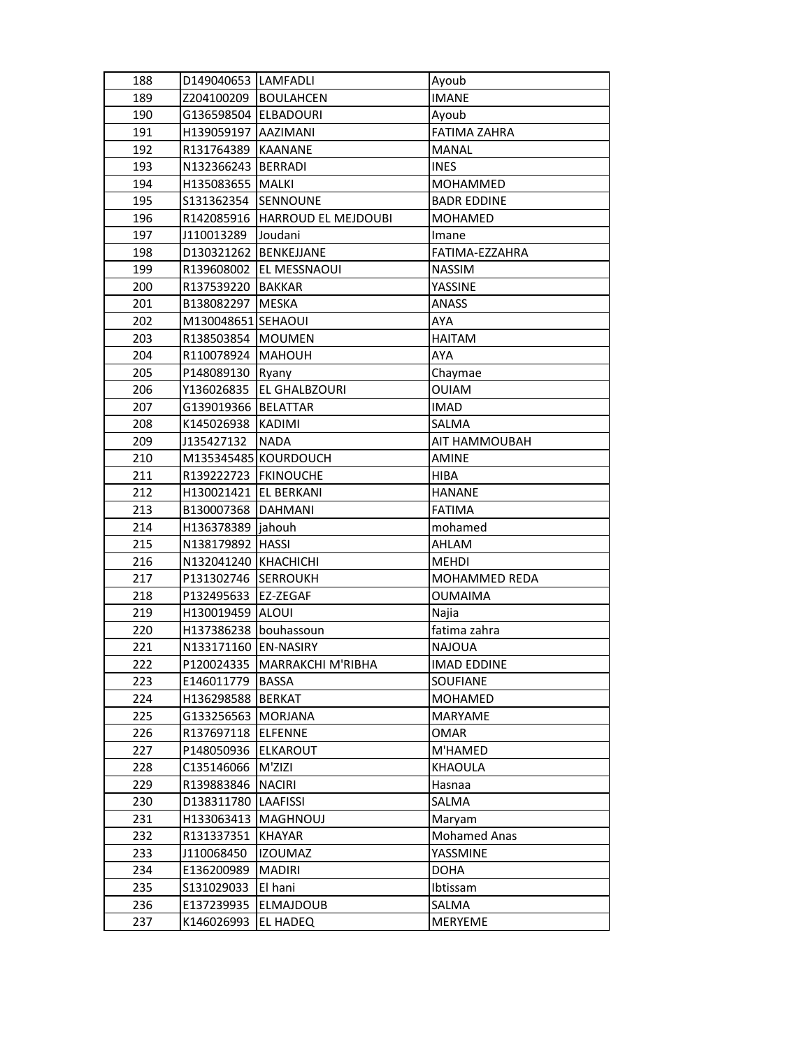| 188 | D149040653  LAMFADLI   |                                 | Ayoub               |
|-----|------------------------|---------------------------------|---------------------|
| 189 | Z204100209 BOULAHCEN   |                                 | <b>IMANE</b>        |
| 190 | G136598504 ELBADOURI   |                                 | Ayoub               |
| 191 | H139059197 AAZIMANI    |                                 | <b>FATIMA ZAHRA</b> |
| 192 | R131764389             | <b>KAANANE</b>                  | <b>MANAL</b>        |
| 193 | N132366243   BERRADI   |                                 | <b>INES</b>         |
| 194 | H135083655   MALKI     |                                 | MOHAMMED            |
| 195 | \$131362354            | <b>SENNOUNE</b>                 | <b>BADR EDDINE</b>  |
| 196 |                        | R142085916  HARROUD EL MEJDOUBI | <b>MOHAMED</b>      |
| 197 | J110013289             | Joudani                         | Imane               |
| 198 | D130321262 BENKEJJANE  |                                 | FATIMA-EZZAHRA      |
| 199 |                        | R139608002 EL MESSNAOUI         | <b>NASSIM</b>       |
| 200 | R137539220 BAKKAR      |                                 | YASSINE             |
| 201 | B138082297             | MESKA                           | <b>ANASS</b>        |
| 202 | M130048651 SEHAOUI     |                                 | AYA                 |
| 203 | R138503854 MOUMEN      |                                 | <b>HAITAM</b>       |
| 204 | R110078924   MAHOUH    |                                 | <b>AYA</b>          |
| 205 | P148089130   Ryany     |                                 | Chaymae             |
| 206 | Y136026835             | <b>EL GHALBZOURI</b>            | <b>OUIAM</b>        |
| 207 | G139019366   BELATTAR  |                                 | <b>IMAD</b>         |
| 208 | K145026938 KADIMI      |                                 | SALMA               |
| 209 | J135427132             | <b>NADA</b>                     | AIT HAMMOUBAH       |
| 210 |                        | M135345485 KOURDOUCH            | <b>AMINE</b>        |
| 211 | R139222723   FKINOUCHE |                                 | <b>HIBA</b>         |
| 212 | H130021421 EL BERKANI  |                                 | <b>HANANE</b>       |
| 213 | B130007368   DAHMANI   |                                 | <b>FATIMA</b>       |
| 214 | H136378389  jahouh     |                                 | mohamed             |
| 215 | N138179892   HASSI     |                                 | AHLAM               |
| 216 | N132041240 KHACHICHI   |                                 | <b>MEHDI</b>        |
| 217 | P131302746             | <b>SERROUKH</b>                 | MOHAMMED REDA       |
| 218 | P132495633             | <b>EZ-ZEGAF</b>                 | <b>OUMAIMA</b>      |
| 219 | H130019459 ALOUI       |                                 | Najia               |
| 220 | H137386238 bouhassoun  |                                 | fatima zahra        |
| 221 | N133171160 EN-NASIRY   |                                 | <b>NAJOUA</b>       |
| 222 |                        | P120024335   MARRAKCHI M'RIBHA  | <b>IMAD EDDINE</b>  |
| 223 | E146011779             | <b>BASSA</b>                    | SOUFIANE            |
| 224 | H136298588 BERKAT      |                                 | MOHAMED             |
| 225 | G133256563  MORJANA    |                                 | MARYAME             |
| 226 | R137697118             | ELFENNE                         | <b>OMAR</b>         |
| 227 | P148050936             | <b>IELKAROUT</b>                | M'HAMED             |
| 228 | C135146066             | M'ZIZI                          | KHAOULA             |
| 229 | R139883846             | <b>NACIRI</b>                   | Hasnaa              |
| 230 | D138311780   LAAFISSI  |                                 | SALMA               |
| 231 | H133063413             | <b>MAGHNOUJ</b>                 | Maryam              |
| 232 | R131337351             | <b>KHAYAR</b>                   | <b>Mohamed Anas</b> |
| 233 | J110068450             | <b>IZOUMAZ</b>                  | YASSMINE            |
| 234 | E136200989             | <b>MADIRI</b>                   | <b>DOHA</b>         |
| 235 | S131029033             | El hani                         | Ibtissam            |
| 236 | E137239935             | <b>ELMAJDOUB</b>                | SALMA               |
| 237 | K146026993             | EL HADEQ                        | MERYEME             |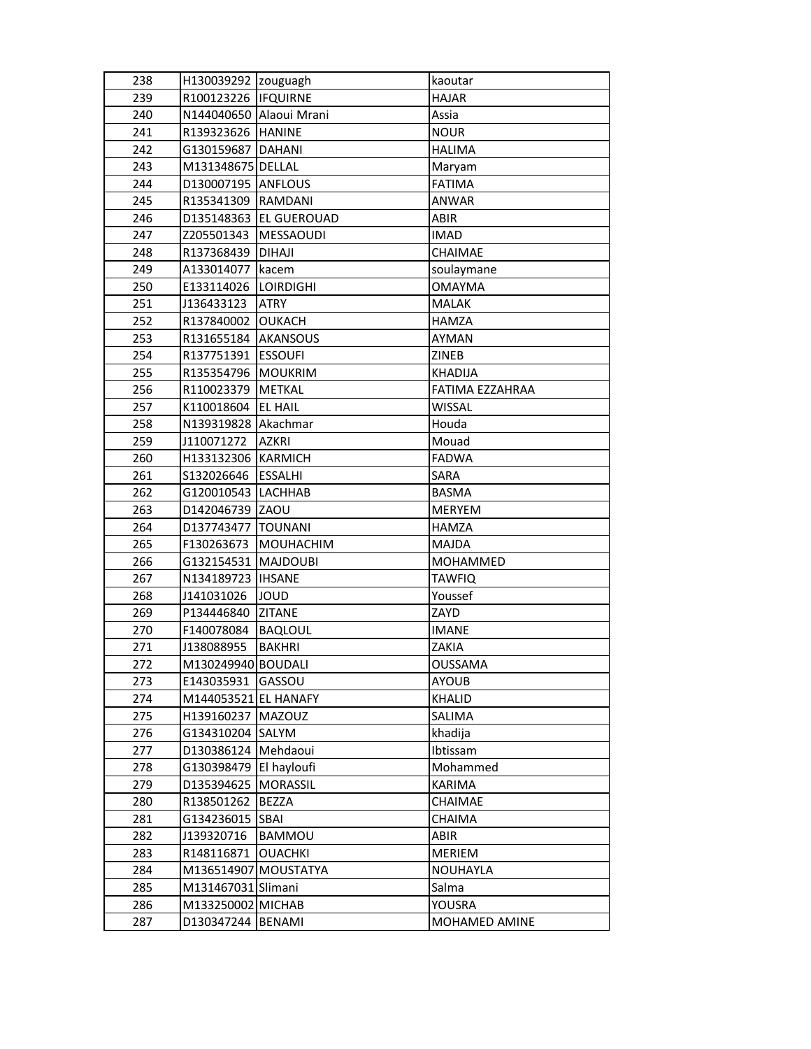| 238 | H130039292 zouguagh     |                        | kaoutar         |
|-----|-------------------------|------------------------|-----------------|
| 239 | R100123226   IFQUIRNE   |                        | <b>HAJAR</b>    |
| 240 | N144040650 Alaoui Mrani |                        | Assia           |
| 241 | R139323626 HANINE       |                        | <b>NOUR</b>     |
| 242 | G130159687 DAHANI       |                        | <b>HALIMA</b>   |
| 243 | M131348675 DELLAL       |                        | Maryam          |
| 244 | D130007195 ANFLOUS      |                        | <b>FATIMA</b>   |
| 245 | R135341309 RAMDANI      |                        | ANWAR           |
| 246 |                         | D135148363 EL GUEROUAD | <b>ABIR</b>     |
| 247 | Z205501343              | <b>MESSAOUDI</b>       | <b>IMAD</b>     |
| 248 | R137368439              | <b>DIHAJI</b>          | CHAIMAE         |
| 249 | A133014077   kacem      |                        | soulaymane      |
| 250 | E133114026   LOIRDIGHI  |                        | <b>OMAYMA</b>   |
| 251 | J136433123              | <b>ATRY</b>            | <b>MALAK</b>    |
| 252 | R137840002 OUKACH       |                        | HAMZA           |
| 253 | R131655184   AKANSOUS   |                        | <b>AYMAN</b>    |
| 254 | R137751391              | <b>ESSOUFI</b>         | ZINEB           |
| 255 | R135354796              | MOUKRIM                | <b>KHADIJA</b>  |
| 256 | R110023379              | METKAL                 | FATIMA EZZAHRAA |
| 257 | K110018604              | <b>EL HAIL</b>         | <b>WISSAL</b>   |
| 258 | N139319828 Akachmar     |                        | Houda           |
| 259 | J110071272              | <b>AZKRI</b>           | Mouad           |
| 260 | H133132306              | KARMICH                | <b>FADWA</b>    |
| 261 | S132026646              | <b>ESSALHI</b>         | SARA            |
| 262 | G120010543 LACHHAB      |                        | <b>BASMA</b>    |
| 263 | D142046739 ZAOU         |                        | MERYEM          |
| 264 | D137743477 TOUNANI      |                        | <b>HAMZA</b>    |
| 265 | F130263673              | MOUHACHIM              | <b>MAJDA</b>    |
| 266 | G132154531              | <b>MAJDOUBI</b>        | MOHAMMED        |
| 267 | N134189723   IHSANE     |                        | <b>TAWFIQ</b>   |
| 268 | J141031026              | JOUD                   | Youssef         |
| 269 | P134446840              | <b>ZITANE</b>          | ZAYD            |
| 270 | F140078084              | BAQLOUL                | <b>IMANE</b>    |
| 271 | J138088955              | <b>BAKHRI</b>          | ZAKIA           |
| 272 | M130249940 BOUDALI      |                        | OUSSAMA         |
| 273 | E143035931 GASSOU       |                        | <b>AYOUB</b>    |
| 274 | M144053521 EL HANAFY    |                        | KHALID          |
| 275 | H139160237   MAZOUZ     |                        | SALIMA          |
| 276 | G134310204 SALYM        |                        | khadija         |
| 277 | D130386124   Mehdaoui   |                        | Ibtissam        |
| 278 | G130398479              | El hayloufi            | Mohammed        |
| 279 | D135394625              | <b>MORASSIL</b>        | <b>KARIMA</b>   |
| 280 | R138501262              | <b>BEZZA</b>           | CHAIMAE         |
| 281 | G134236015              | <b>SBAI</b>            | CHAIMA          |
| 282 | J139320716              | BAMMOU                 | ABIR            |
| 283 | R148116871              | <b>OUACHKI</b>         | MERIEM          |
| 284 | M136514907 MOUSTATYA    |                        | NOUHAYLA        |
| 285 | M131467031 Slimani      |                        | Salma           |
| 286 | M133250002 MICHAB       |                        | YOUSRA          |
| 287 | D130347244              | <b>BENAMI</b>          | MOHAMED AMINE   |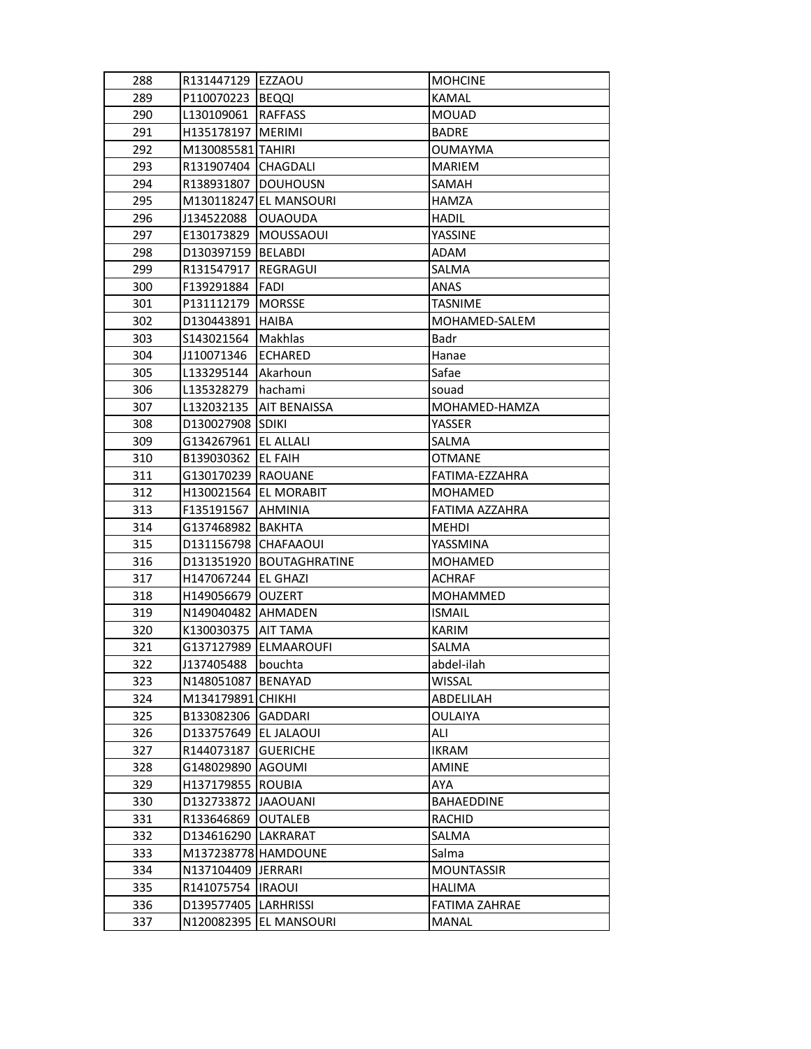| 288 | R131447129 EZZAOU           |                            | <b>MOHCINE</b>       |
|-----|-----------------------------|----------------------------|----------------------|
| 289 | P110070223  BEQQI           |                            | <b>KAMAL</b>         |
| 290 | L130109061                  | <b>RAFFASS</b>             | <b>MOUAD</b>         |
| 291 | H135178197 MERIMI           |                            | <b>BADRE</b>         |
| 292 | M130085581 TAHIRI           |                            | <b>OUMAYMA</b>       |
| 293 | R131907404 CHAGDALI         |                            | <b>MARIEM</b>        |
| 294 | R138931807                  | <b>DOUHOUSN</b>            | SAMAH                |
| 295 |                             | M130118247 EL MANSOURI     | HAMZA                |
| 296 | J134522088                  | <b>OUAOUDA</b>             | <b>HADIL</b>         |
| 297 | E130173829                  | <b>MOUSSAOUI</b>           | YASSINE              |
| 298 | D130397159 BELABDI          |                            | ADAM                 |
| 299 | R131547917  REGRAGUI        |                            | SALMA                |
| 300 | F139291884                  | FADI                       | <b>ANAS</b>          |
| 301 | P131112179   MORSSE         |                            | <b>TASNIME</b>       |
| 302 | D130443891   HAIBA          |                            | MOHAMED-SALEM        |
| 303 | S143021564   Makhlas        |                            | Badr                 |
| 304 | J110071346                  | ECHARED                    | Hanae                |
| 305 | L133295144                  | Akarhoun                   | Safae                |
| 306 | L135328279                  | <b>hachami</b>             | souad                |
| 307 | L132032135                  | <b>AIT BENAISSA</b>        | MOHAMED-HAMZA        |
| 308 | D130027908 SDIKI            |                            | YASSER               |
| 309 | G134267961 EL ALLALI        |                            | SALMA                |
| 310 | B139030362 EL FAIH          |                            | <b>OTMANE</b>        |
| 311 | G130170239  RAOUANE         |                            | FATIMA-EZZAHRA       |
| 312 | H130021564   EL MORABIT     |                            | MOHAMED              |
| 313 | <b>F135191567   AHMINIA</b> |                            | FATIMA AZZAHRA       |
| 314 | G137468982   BAKHTA         |                            | MEHDI                |
| 315 | D131156798 CHAFAAOUI        |                            | YASSMINA             |
| 316 |                             | D131351920   BOUTAGHRATINE | <b>MOHAMED</b>       |
| 317 | H147067244   EL GHAZI       |                            | <b>ACHRAF</b>        |
| 318 | H149056679   OUZERT         |                            | MOHAMMED             |
| 319 | N149040482 AHMADEN          |                            | <b>ISMAIL</b>        |
| 320 | K130030375   AIT TAMA       |                            | <b>KARIM</b>         |
| 321 |                             | G137127989   ELMAAROUFI    | SALMA                |
| 322 | J137405488                  | bouchta                    | abdel-ilah           |
| 323 | N148051087 BENAYAD          |                            | <b>WISSAL</b>        |
| 324 | M134179891 CHIKHI           |                            | ABDELILAH            |
| 325 | B133082306 GADDARI          |                            | <b>OULAIYA</b>       |
| 326 | D133757649   EL JALAOUI     |                            | ALI                  |
| 327 | R144073187                  | GUERICHE                   | <b>IKRAM</b>         |
| 328 | G148029890                  | <b>AGOUMI</b>              | <b>AMINE</b>         |
| 329 | H137179855                  | <b>ROUBIA</b>              | AYA                  |
| 330 | D132733872 JAAOUANI         |                            | BAHAEDDINE           |
| 331 | R133646869                  | <b>OUTALEB</b>             | RACHID               |
| 332 | D134616290   LAKRARAT       |                            | SALMA                |
| 333 | M137238778 HAMDOUNE         |                            | Salma                |
| 334 | N137104409  JERRARI         |                            | <b>MOUNTASSIR</b>    |
| 335 | R141075754                  | <b>IRAOUI</b>              | <b>HALIMA</b>        |
| 336 | D139577405  LARHRISSI       |                            | <b>FATIMA ZAHRAE</b> |
| 337 |                             | N120082395 EL MANSOURI     | <b>MANAL</b>         |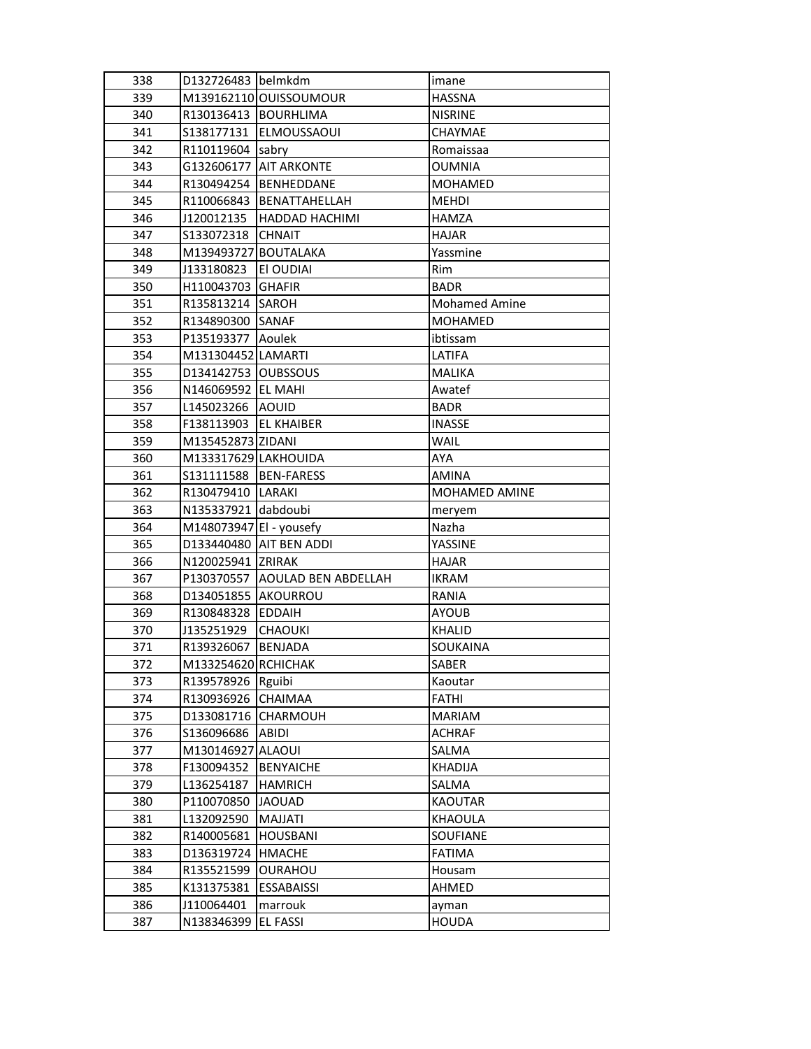| 338 | D132726483 belmkdm      |                                | imane                |
|-----|-------------------------|--------------------------------|----------------------|
| 339 |                         | M139162110 OUISSOUMOUR         | <b>HASSNA</b>        |
| 340 | R130136413   BOURHLIMA  |                                | <b>NISRINE</b>       |
| 341 | S138177131              | <b>ELMOUSSAOUI</b>             | CHAYMAE              |
| 342 | R110119604 sabry        |                                | Romaissaa            |
| 343 | G132606177              | <b>AIT ARKONTE</b>             | <b>OUMNIA</b>        |
| 344 | R130494254              | <b>BENHEDDANE</b>              | <b>MOHAMED</b>       |
| 345 | R110066843              | BENATTAHELLAH                  | <b>MEHDI</b>         |
| 346 | J120012135              | HADDAD HACHIMI                 | <b>HAMZA</b>         |
| 347 | S133072318              | <b>CHNAIT</b>                  | <b>HAJAR</b>         |
| 348 | M139493727 BOUTALAKA    |                                | Yassmine             |
| 349 | J133180823              | EI OUDIAI                      | Rim                  |
| 350 | H110043703 GHAFIR       |                                | <b>BADR</b>          |
| 351 | R135813214 SAROH        |                                | <b>Mohamed Amine</b> |
| 352 | R134890300 SANAF        |                                | <b>MOHAMED</b>       |
| 353 | P135193377              | Aoulek                         | ibtissam             |
| 354 | M131304452 LAMARTI      |                                | LATIFA               |
| 355 | D134142753   OUBSSOUS   |                                | <b>MALIKA</b>        |
| 356 | N146069592   EL MAHI    |                                | Awatef               |
| 357 | L145023266 AOUID        |                                | <b>BADR</b>          |
| 358 | F138113903              | <b>IEL KHAIBER</b>             | <b>INASSE</b>        |
| 359 | M135452873 ZIDANI       |                                | WAIL                 |
| 360 | M133317629 LAKHOUIDA    |                                | <b>AYA</b>           |
| 361 | S131111588   BEN-FARESS |                                | <b>AMINA</b>         |
| 362 | R130479410   LARAKI     |                                | <b>MOHAMED AMINE</b> |
| 363 | N135337921 dabdoubi     |                                | meryem               |
| 364 | M148073947 El - yousefy |                                | Nazha                |
| 365 |                         | D133440480   AIT BEN ADDI      | YASSINE              |
| 366 | N120025941 ZRIRAK       |                                | <b>HAJAR</b>         |
| 367 |                         | P130370557 AOULAD BEN ABDELLAH | <b>IKRAM</b>         |
| 368 | D134051855 AKOURROU     |                                | RANIA                |
| 369 | R130848328 EDDAIH       |                                | <b>AYOUB</b>         |
| 370 | J135251929              | <b>CHAOUKI</b>                 | <b>KHALID</b>        |
| 371 | R139326067              | BENJADA                        | <b>SOUKAINA</b>      |
| 372 | M133254620 RCHICHAK     |                                | SABER                |
| 373 | R139578926 Rguibi       |                                | Kaoutar              |
| 374 | R130936926              | <b>CHAIMAA</b>                 | <b>FATHI</b>         |
| 375 | D133081716              | <b>CHARMOUH</b>                | <b>MARIAM</b>        |
| 376 | \$136096686             | ABIDI                          | <b>ACHRAF</b>        |
| 377 | M130146927              | <b>ALAOUI</b>                  | SALMA                |
| 378 | F130094352              | <b>BENYAICHE</b>               | <b>KHADIJA</b>       |
| 379 | L136254187              | <b>HAMRICH</b>                 | SALMA                |
| 380 | P110070850              | <b>JAOUAD</b>                  | <b>KAOUTAR</b>       |
| 381 | L132092590              | MAJJATI                        | <b>KHAOULA</b>       |
| 382 | R140005681              | <b>HOUSBANI</b>                | SOUFIANE             |
| 383 | D136319724              | <b>HMACHE</b>                  | <b>FATIMA</b>        |
| 384 | R135521599              | OURAHOU                        | Housam               |
| 385 | K131375381              | <b>ESSABAISSI</b>              | AHMED                |
| 386 | J110064401              | marrouk                        | ayman                |
| 387 | N138346399              | <b>EL FASSI</b>                | <b>HOUDA</b>         |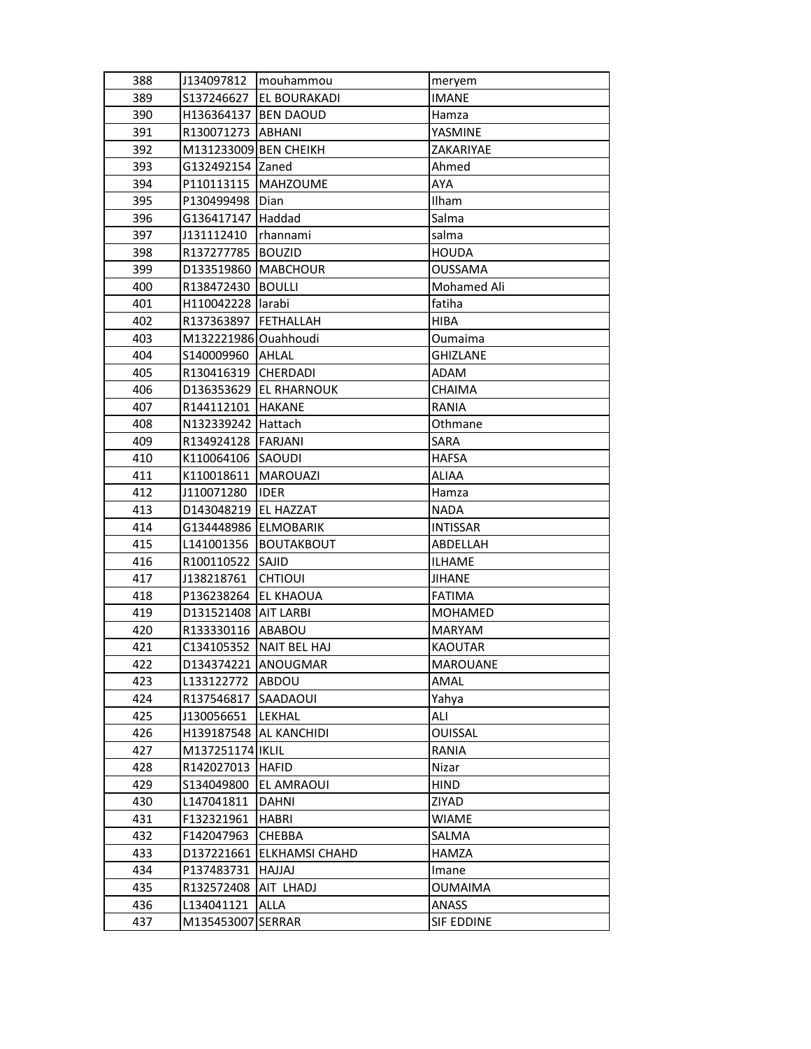| 388 | J134097812            | mouhammou               | meryem          |
|-----|-----------------------|-------------------------|-----------------|
| 389 | S137246627            | EL BOURAKADI            | <b>IMANE</b>    |
| 390 | H136364137 BEN DAOUD  |                         | Hamza           |
| 391 | R130071273            | ABHANI                  | YASMINE         |
| 392 | M131233009 BEN CHEIKH |                         | ZAKARIYAE       |
| 393 | G132492154 Zaned      |                         | Ahmed           |
| 394 | P110113115            | <b>MAHZOUME</b>         | AYA             |
| 395 | P130499498            | Dian                    | Ilham           |
| 396 | G136417147            | Haddad                  | Salma           |
| 397 | J131112410            | rhannami                | salma           |
| 398 | R137277785            | <b>BOUZID</b>           | <b>HOUDA</b>    |
| 399 | D133519860            | <b>MABCHOUR</b>         | <b>OUSSAMA</b>  |
| 400 | R138472430            | <b>BOULLI</b>           | Mohamed Ali     |
| 401 | H110042228  larabi    |                         | fatiha          |
| 402 | R137363897            | FETHALLAH               | <b>HIBA</b>     |
| 403 | M132221986 Ouahhoudi  |                         | Oumaima         |
| 404 | S140009960            | AHLAL                   | <b>GHIZLANE</b> |
| 405 | R130416319            | <b>CHERDADI</b>         | ADAM            |
| 406 | D136353629            | <b>EL RHARNOUK</b>      | <b>CHAIMA</b>   |
| 407 | R144112101            | <b>HAKANE</b>           | RANIA           |
| 408 | N132339242 Hattach    |                         | Othmane         |
| 409 | R134924128            | FARJANI                 | SARA            |
| 410 | K110064106            | SAOUDI                  | <b>HAFSA</b>    |
| 411 | K110018611            | <b>MAROUAZI</b>         | <b>ALIAA</b>    |
| 412 | J110071280            | <b>IDER</b>             | Hamza           |
| 413 | D143048219 EL HAZZAT  |                         | <b>NADA</b>     |
| 414 | G134448986 ELMOBARIK  |                         | <b>INTISSAR</b> |
| 415 | L141001356            | <b>BOUTAKBOUT</b>       | ABDELLAH        |
| 416 | R100110522            | SAJID                   | ILHAME          |
| 417 | J138218761            | <b>CHTIOUI</b>          | <b>JIHANE</b>   |
| 418 | P136238264            | <b>EL KHAOUA</b>        | <b>FATIMA</b>   |
| 419 | D131521408 AIT LARBI  |                         | <b>MOHAMED</b>  |
| 420 | R133330116 ABABOU     |                         | <b>MARYAM</b>   |
| 421 |                       | C134105352 NAIT BEL HAJ | <b>KAOUTAR</b>  |
| 422 | D134374221 ANOUGMAR   |                         | MAROUANE        |
| 423 | L133122772            | ABDOU                   | AMAL            |
| 424 | R137546817            | SAADAOUI                | Yahya           |
| 425 | J130056651            | LEKHAL                  | ALI             |
| 426 | H139187548            | AL KANCHIDI             | <b>OUISSAL</b>  |
| 427 | M137251174   IKLIL    |                         | RANIA           |
| 428 | R142027013            | <b>HAFID</b>            | Nizar           |
| 429 | S134049800            | EL AMRAOUI              | <b>HIND</b>     |
| 430 | L147041811            | DAHNI                   | ZIYAD           |
| 431 | F132321961            | HABRI                   | WIAME           |
| 432 | F142047963            | CHEBBA                  | SALMA           |
| 433 | D137221661            | <b>ELKHAMSI CHAHD</b>   | HAMZA           |
| 434 | P137483731            | <b>LAUAH</b>            | Imane           |
| 435 | R132572408            | AIT LHADJ               | <b>OUMAIMA</b>  |
| 436 | L134041121            | <b>ALLA</b>             | ANASS           |
| 437 | M135453007            | <b>SERRAR</b>           | SIF EDDINE      |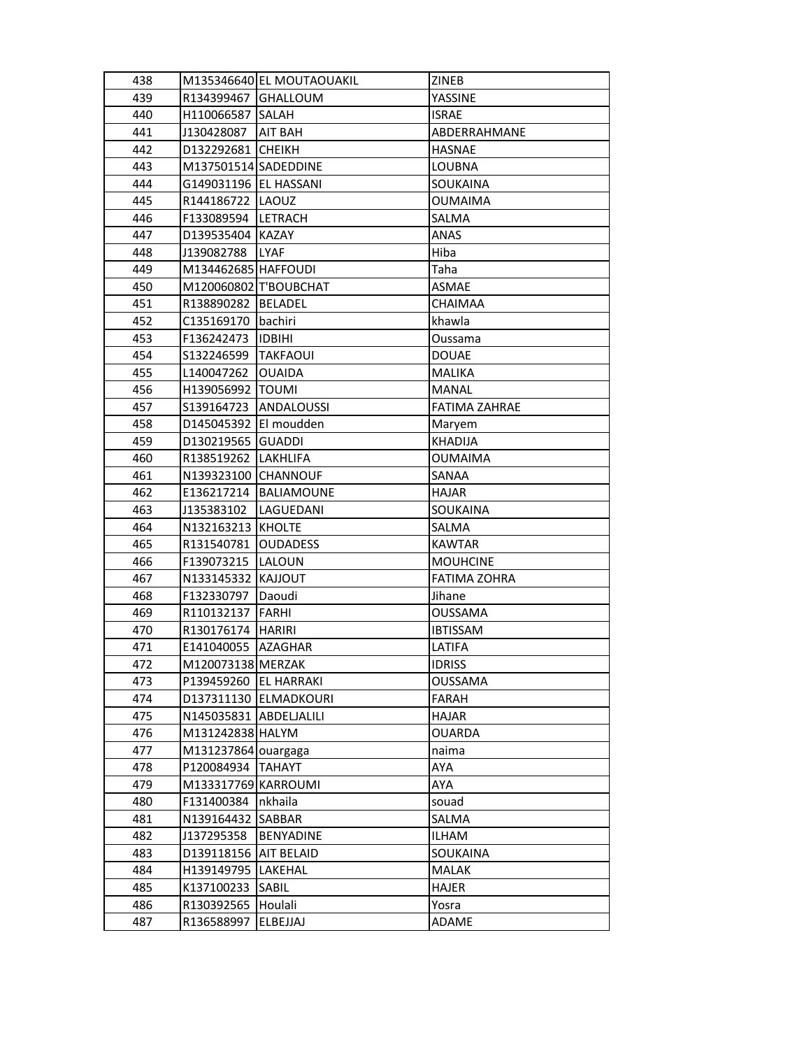| 438 |                         | M135346640 EL MOUTAOUAKIL | ZINEB                |
|-----|-------------------------|---------------------------|----------------------|
| 439 | R134399467 GHALLOUM     |                           | YASSINE              |
| 440 | H110066587 SALAH        |                           | <b>ISRAE</b>         |
| 441 | J130428087              | AIT BAH                   | ABDERRAHMANE         |
| 442 | D132292681 CHEIKH       |                           | <b>HASNAE</b>        |
| 443 | M137501514 SADEDDINE    |                           | LOUBNA               |
| 444 | G149031196   EL HASSANI |                           | <b>SOUKAINA</b>      |
| 445 | R144186722   LAOUZ      |                           | <b>OUMAIMA</b>       |
| 446 | F133089594  LETRACH     |                           | SALMA                |
| 447 | D139535404 KAZAY        |                           | <b>ANAS</b>          |
| 448 | J139082788              | <b>LYAF</b>               | Hiba                 |
| 449 | M134462685 HAFFOUDI     |                           | Taha                 |
| 450 |                         | M120060802 T'BOUBCHAT     | ASMAE                |
| 451 | R138890282 BELADEL      |                           | <b>CHAIMAA</b>       |
| 452 | C135169170   bachiri    |                           | khawla               |
| 453 | F136242473              | <b>IDBIHI</b>             | Oussama              |
| 454 | S132246599              | <b>TAKFAOUI</b>           | <b>DOUAE</b>         |
| 455 | L140047262              | <b>OUAIDA</b>             | <b>MALIKA</b>        |
| 456 | H139056992  TOUMI       |                           | <b>MANAL</b>         |
| 457 | S139164723              | <b>ANDALOUSSI</b>         | <b>FATIMA ZAHRAE</b> |
| 458 | D145045392   El moudden |                           | Maryem               |
| 459 | D130219565 GUADDI       |                           | <b>KHADIJA</b>       |
| 460 | R138519262 LAKHLIFA     |                           | <b>OUMAIMA</b>       |
| 461 | N139323100 CHANNOUF     |                           | SANAA                |
| 462 |                         | E136217214   BALIAMOUNE   | <b>HAJAR</b>         |
| 463 | J135383102              | LAGUEDANI                 | <b>SOUKAINA</b>      |
| 464 | N132163213 KHOLTE       |                           | SALMA                |
| 465 | R131540781              | <b>OUDADESS</b>           | <b>KAWTAR</b>        |
| 466 | F139073215              | LALOUN                    | <b>MOUHCINE</b>      |
| 467 | N133145332 KAJJOUT      |                           | <b>FATIMA ZOHRA</b>  |
| 468 | F132330797              | Daoudi                    | Jihane               |
| 469 | R110132137              | <b>FARHI</b>              | <b>OUSSAMA</b>       |
| 470 | R130176174 HARIRI       |                           | <b>IBTISSAM</b>      |
| 471 | E141040055 AZAGHAR      |                           | LATIFA               |
| 472 | M120073138 MERZAK       |                           | <b>IDRISS</b>        |
| 473 | P139459260 EL HARRAKI   |                           | <b>OUSSAMA</b>       |
| 474 |                         | D137311130 ELMADKOURI     | FARAH                |
| 475 | N145035831 ABDELJALILI  |                           | HAJAR                |
| 476 | M131242838 HALYM        |                           | <b>OUARDA</b>        |
| 477 | M131237864 ouargaga     |                           | naima                |
| 478 | P120084934              | <b>TAHAYT</b>             | AYA                  |
| 479 | M133317769 KARROUMI     |                           | AYA                  |
| 480 | F131400384              | nkhaila                   | souad                |
| 481 | N139164432              | SABBAR                    | SALMA                |
| 482 | J137295358              | BENYADINE                 | ILHAM                |
| 483 | D139118156   AIT BELAID |                           | SOUKAINA             |
| 484 | H139149795 LAKEHAL      |                           | <b>MALAK</b>         |
| 485 | K137100233              | SABIL                     | <b>HAJER</b>         |
| 486 | R130392565              | Houlali                   | Yosra                |
| 487 | R136588997              | ELBEJJAJ                  | ADAME                |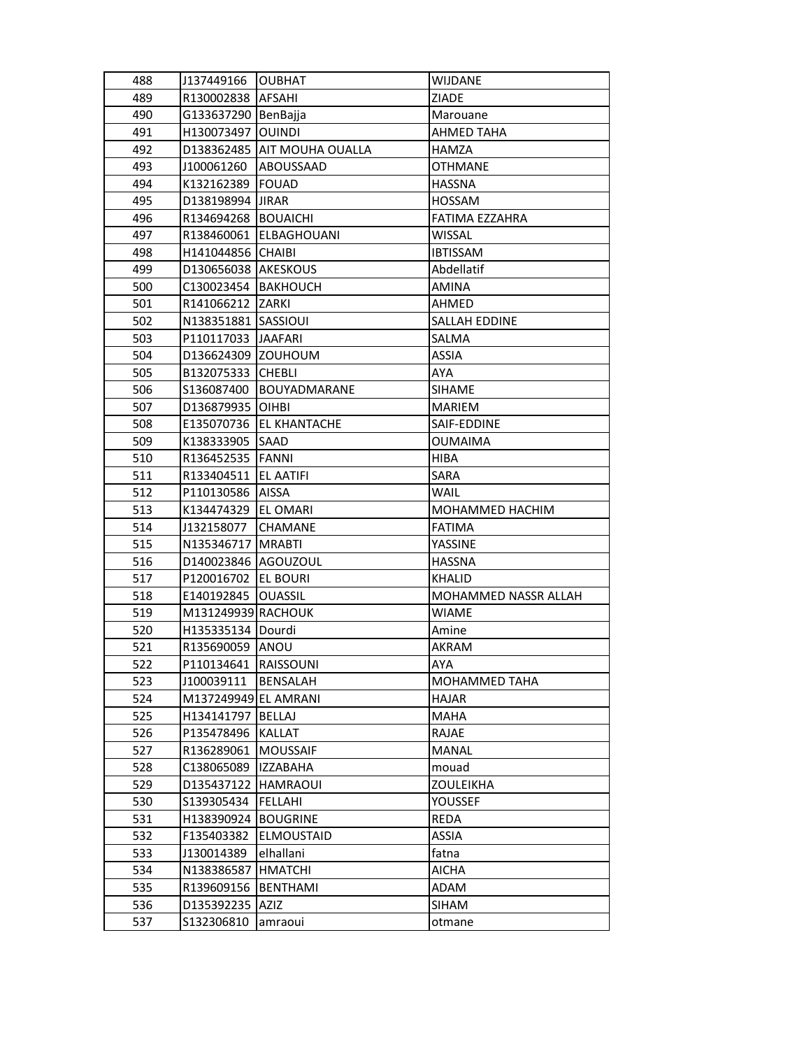| 488 | J137449166            | <b>OUBHAT</b>               | <b>WIJDANE</b>       |
|-----|-----------------------|-----------------------------|----------------------|
| 489 | R130002838   AFSAHI   |                             | ZIADE                |
| 490 | G133637290 BenBajja   |                             | Marouane             |
| 491 | H130073497   OUINDI   |                             | AHMED TAHA           |
| 492 |                       | D138362485 AIT MOUHA OUALLA | HAMZA                |
| 493 | J100061260            | ABOUSSAAD                   | <b>OTHMANE</b>       |
| 494 | K132162389            | <b>FOUAD</b>                | <b>HASSNA</b>        |
| 495 | D138198994 JJRAR      |                             | <b>HOSSAM</b>        |
| 496 | R134694268 BOUAICHI   |                             | FATIMA EZZAHRA       |
| 497 | R138460061            | <b>ELBAGHOUANI</b>          | <b>WISSAL</b>        |
| 498 | H141044856            | <b>CHAIBI</b>               | <b>IBTISSAM</b>      |
| 499 | D130656038 AKESKOUS   |                             | Abdellatif           |
| 500 | C130023454 BAKHOUCH   |                             | <b>AMINA</b>         |
| 501 | R141066212 ZARKI      |                             | AHMED                |
| 502 | N138351881 SASSIOUI   |                             | SALLAH EDDINE        |
| 503 | P110117033 JJAAFARI   |                             | SALMA                |
| 504 | D136624309 ZOUHOUM    |                             | <b>ASSIA</b>         |
| 505 | B132075333 CHEBLI     |                             | AYA                  |
| 506 | S136087400            | BOUYADMARANE                | <b>SIHAME</b>        |
| 507 | D136879935 OIHBI      |                             | <b>MARIEM</b>        |
| 508 | E135070736            | <b>EL KHANTACHE</b>         | SAIF-EDDINE          |
| 509 | K138333905            | SAAD                        | <b>OUMAIMA</b>       |
| 510 | R136452535            | <b>FANNI</b>                | <b>HIBA</b>          |
| 511 | R133404511            | <b>EL AATIFI</b>            | SARA                 |
| 512 | P110130586            | <b>AISSA</b>                | <b>WAIL</b>          |
| 513 | K134474329            | <b>EL OMARI</b>             | MOHAMMED HACHIM      |
| 514 | J132158077            | <b>CHAMANE</b>              | <b>FATIMA</b>        |
| 515 | N135346717   MRABTI   |                             | YASSINE              |
| 516 | D140023846 AGOUZOUL   |                             | <b>HASSNA</b>        |
| 517 | P120016702   EL BOURI |                             | <b>KHALID</b>        |
| 518 | E140192845   OUASSIL  |                             | MOHAMMED NASSR ALLAH |
| 519 | M131249939 RACHOUK    |                             | <b>WIAME</b>         |
| 520 | H135335134 Dourdi     |                             | Amine                |
| 521 | R135690059 ANOU       |                             | <b>AKRAM</b>         |
| 522 | P110134641 RAISSOUNI  |                             | AYA                  |
| 523 | J100039111            | BENSALAH                    | MOHAMMED TAHA        |
| 524 | M137249949 EL AMRANI  |                             | <b>HAJAR</b>         |
| 525 | H134141797            | <b>BELLAJ</b>               | MAHA                 |
| 526 | P135478496            | <b>KALLAT</b>               | RAJAE                |
| 527 | R136289061            | <b>MOUSSAIF</b>             | MANAL                |
| 528 | C138065089            | <b>IZZABAHA</b>             | mouad                |
| 529 | D135437122            | <b>HAMRAOUI</b>             | <b>ZOULEIKHA</b>     |
| 530 | S139305434            | FELLAHI                     | YOUSSEF              |
| 531 | H138390924            | <b>BOUGRINE</b>             | REDA                 |
| 532 | F135403382            | ELMOUSTAID                  | ASSIA                |
| 533 | J130014389            | elhallani                   | fatna                |
| 534 | N138386587            | <b>HMATCHI</b>              | <b>AICHA</b>         |
| 535 | R139609156            | BENTHAMI                    | ADAM                 |
| 536 | D135392235            | <b>AZIZ</b>                 | <b>SIHAM</b>         |
| 537 | \$132306810           | amraoui                     | otmane               |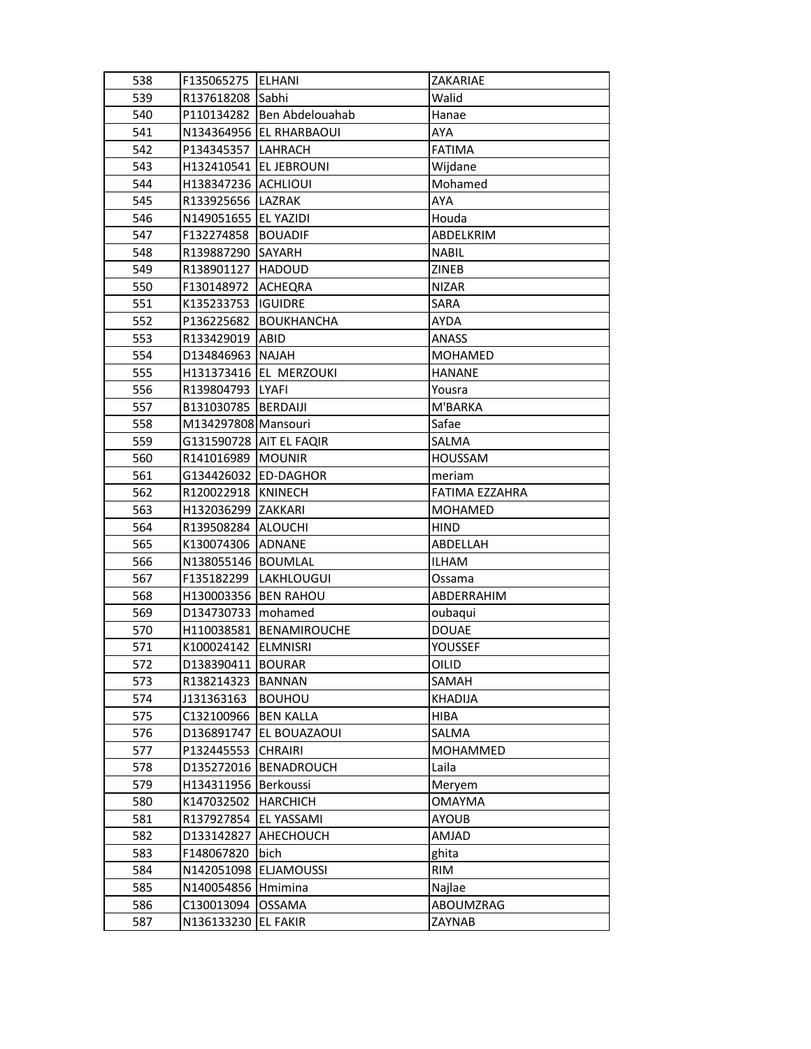| 538 | F135065275   ELHANI        |                         | ZAKARIAE       |
|-----|----------------------------|-------------------------|----------------|
| 539 | R137618208 Sabhi           |                         | Walid          |
| 540 | P110134282                 | Ben Abdelouahab         | Hanae          |
| 541 |                            | N134364956 EL RHARBAOUI | AYA            |
| 542 | P134345357 LAHRACH         |                         | <b>FATIMA</b>  |
| 543 | H132410541 EL JEBROUNI     |                         | Wijdane        |
| 544 | <b>H138347236 ACHLIOUI</b> |                         | Mohamed        |
| 545 | R133925656   LAZRAK        |                         | AYA            |
| 546 | N149051655 EL YAZIDI       |                         | Houda          |
| 547 | F132274858                 | <b>BOUADIF</b>          | ABDELKRIM      |
| 548 | R139887290                 | SAYARH                  | <b>NABIL</b>   |
| 549 | R138901127  HADOUD         |                         | <b>ZINEB</b>   |
| 550 | F130148972                 | ACHEQRA                 | NIZAR          |
| 551 | K135233753  IGUIDRE        |                         | SARA           |
| 552 | P136225682                 | BOUKHANCHA              | <b>AYDA</b>    |
| 553 | R133429019                 | ABID                    | <b>ANASS</b>   |
| 554 | D134846963 NAJAH           |                         | <b>MOHAMED</b> |
| 555 |                            | H131373416 EL MERZOUKI  | <b>HANANE</b>  |
| 556 | R139804793                 | <b>LYAFI</b>            | Yousra         |
| 557 | B131030785   BERDAIJI      |                         | M'BARKA        |
| 558 | M134297808 Mansouri        |                         | Safae          |
| 559 | G131590728 AIT EL FAQIR    |                         | SALMA          |
| 560 | R141016989                 | <b>MOUNIR</b>           | <b>HOUSSAM</b> |
| 561 | G134426032  ED-DAGHOR      |                         | meriam         |
| 562 | R120022918  KNINECH        |                         | FATIMA EZZAHRA |
| 563 | H132036299 ZAKKARI         |                         | <b>MOHAMED</b> |
| 564 | R139508284 ALOUCHI         |                         | <b>HIND</b>    |
| 565 | K130074306 ADNANE          |                         | ABDELLAH       |
| 566 | N138055146 BOUMLAL         |                         | <b>ILHAM</b>   |
| 567 |                            | F135182299  LAKHLOUGUI  | Ossama         |
| 568 | H130003356 BEN RAHOU       |                         | ABDERRAHIM     |
| 569 | D134730733                 | mohamed                 | oubaqui        |
| 570 |                            | H110038581 BENAMIROUCHE | <b>DOUAE</b>   |
| 571 | K100024142                 | <b>ELMNISRI</b>         | YOUSSEF        |
| 572 | D138390411 BOURAR          |                         | OILID          |
| 573 | R138214323                 | BANNAN                  | SAMAH          |
| 574 | J131363163                 | <b>BOUHOU</b>           | <b>KHADIJA</b> |
| 575 | C132100966                 | <b>BEN KALLA</b>        | HIBA           |
| 576 | D136891747                 | EL BOUAZAOUI            | SALMA          |
| 577 | P132445553                 | <b>CHRAIRI</b>          | MOHAMMED       |
| 578 | D135272016                 | <b>BENADROUCH</b>       | Laila          |
| 579 | H134311956                 | Berkoussi               | Meryem         |
| 580 | K147032502                 | <b>HARCHICH</b>         | <b>OMAYMA</b>  |
| 581 | R137927854                 | EL YASSAMI              | <b>AYOUB</b>   |
| 582 | D133142827                 | AHECHOUCH               | AMJAD          |
| 583 | F148067820                 | bich                    | ghita          |
| 584 | N142051098                 | <b>ELJAMOUSSI</b>       | <b>RIM</b>     |
| 585 | N140054856                 | Hmimina                 | Najlae         |
| 586 | C130013094                 | <b>OSSAMA</b>           | ABOUMZRAG      |
| 587 | N136133230                 | <b>EL FAKIR</b>         | ZAYNAB         |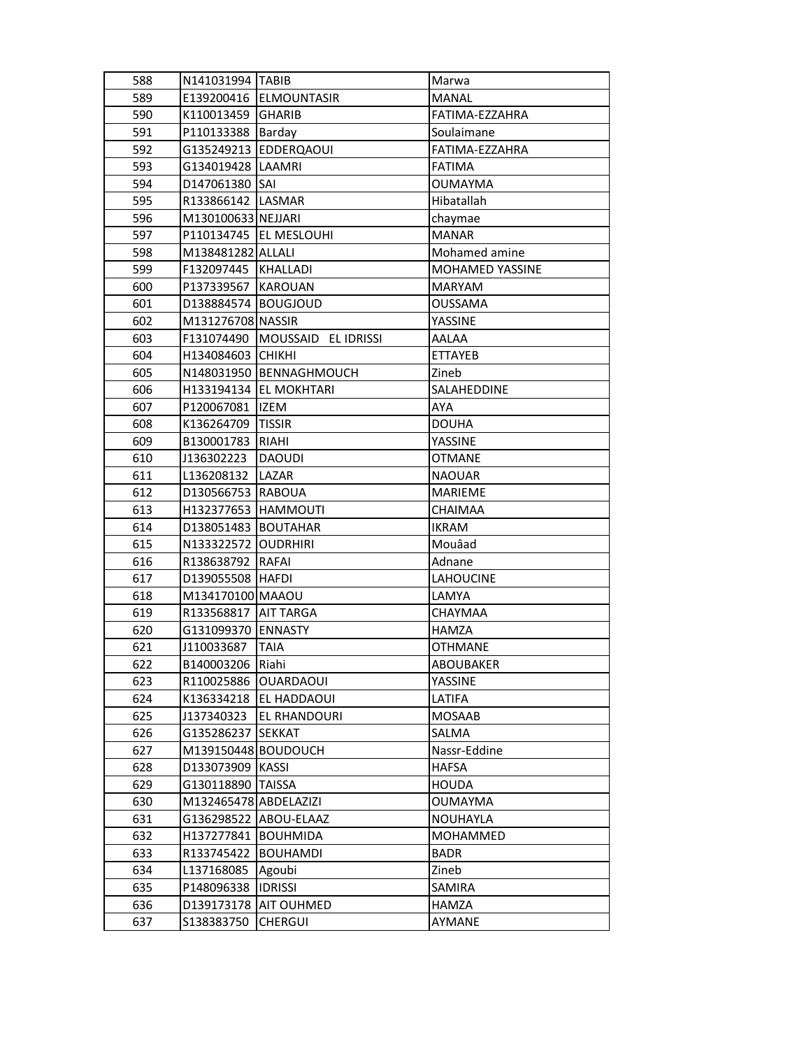| 588 | N141031994  TABIB     |                                | Marwa                  |
|-----|-----------------------|--------------------------------|------------------------|
| 589 |                       | E139200416 ELMOUNTASIR         | <b>MANAL</b>           |
| 590 | K110013459 GHARIB     |                                | FATIMA-EZZAHRA         |
| 591 | P110133388 Barday     |                                | Soulaimane             |
| 592 |                       | G135249213  EDDERQAOUI         | FATIMA-EZZAHRA         |
| 593 | G134019428   LAAMRI   |                                | <b>FATIMA</b>          |
| 594 | D147061380 SAI        |                                | <b>OUMAYMA</b>         |
| 595 | R133866142 LASMAR     |                                | Hibatallah             |
| 596 | M130100633 NEJJARI    |                                | chaymae                |
| 597 |                       | P110134745   EL MESLOUHI       | <b>MANAR</b>           |
| 598 | M138481282 ALLALI     |                                | Mohamed amine          |
| 599 | F132097445 KHALLADI   |                                | <b>MOHAMED YASSINE</b> |
| 600 | P137339567   KAROUAN  |                                | <b>MARYAM</b>          |
| 601 | D138884574 BOUGJOUD   |                                | <b>OUSSAMA</b>         |
| 602 | M131276708 NASSIR     |                                | YASSINE                |
| 603 |                       | F131074490 MOUSSAID EL IDRISSI | AALAA                  |
| 604 | H134084603 CHIKHI     |                                | <b>ETTAYEB</b>         |
| 605 |                       | N148031950 BENNAGHMOUCH        | Zineb                  |
| 606 |                       | H133194134 EL MOKHTARI         | SALAHEDDINE            |
| 607 | P120067081            | <b>IZEM</b>                    | AYA                    |
| 608 | K136264709            | <b>TISSIR</b>                  | <b>DOUHA</b>           |
| 609 | B130001783            | <b>RIAHI</b>                   | YASSINE                |
| 610 | J136302223            | <b>DAOUDI</b>                  | <b>OTMANE</b>          |
| 611 | L136208132            | LAZAR                          | <b>NAOUAR</b>          |
| 612 | D130566753 RABOUA     |                                | <b>MARIEME</b>         |
| 613 | H132377653 HAMMOUTI   |                                | <b>CHAIMAA</b>         |
| 614 | D138051483 BOUTAHAR   |                                | <b>IKRAM</b>           |
| 615 | N133322572 OUDRHIRI   |                                | Mouâad                 |
| 616 | R138638792   RAFAI    |                                | Adnane                 |
| 617 | D139055508  HAFDI     |                                | LAHOUCINE              |
| 618 | M134170100 MAAOU      |                                | LAMYA                  |
| 619 | R133568817            | <b>AIT TARGA</b>               | CHAYMAA                |
| 620 | G131099370 ENNASTY    |                                | <b>HAMZA</b>           |
| 621 | J110033687            | <b>TAIA</b>                    | <b>OTHMANE</b>         |
| 622 | B140003206 Riahi      |                                | ABOUBAKER              |
| 623 | R110025886 OUARDAOUI  |                                | YASSINE                |
| 624 |                       | K136334218   EL HADDAOUI       | LATIFA                 |
| 625 | J137340323            | <b>EL RHANDOURI</b>            | <b>MOSAAB</b>          |
| 626 | G135286237            | <b>SEKKAT</b>                  | SALMA                  |
| 627 | M139150448 BOUDOUCH   |                                | Nassr-Eddine           |
| 628 | D133073909 KASSI      |                                | <b>HAFSA</b>           |
| 629 | G130118890            | <b>TAISSA</b>                  | <b>HOUDA</b>           |
| 630 | M132465478 ABDELAZIZI |                                | <b>OUMAYMA</b>         |
| 631 | G136298522            | ABOU-ELAAZ                     | NOUHAYLA               |
| 632 | H137277841            | <b>BOUHMIDA</b>                | MOHAMMED               |
| 633 | R133745422            | <b>BOUHAMDI</b>                | <b>BADR</b>            |
| 634 | L137168085            | Agoubi                         | Zineb                  |
| 635 | P148096338            | <b>IDRISSI</b>                 | SAMIRA                 |
| 636 | D139173178            | AIT OUHMED                     | <b>HAMZA</b>           |
| 637 | \$138383750           | <b>CHERGUI</b>                 | AYMANE                 |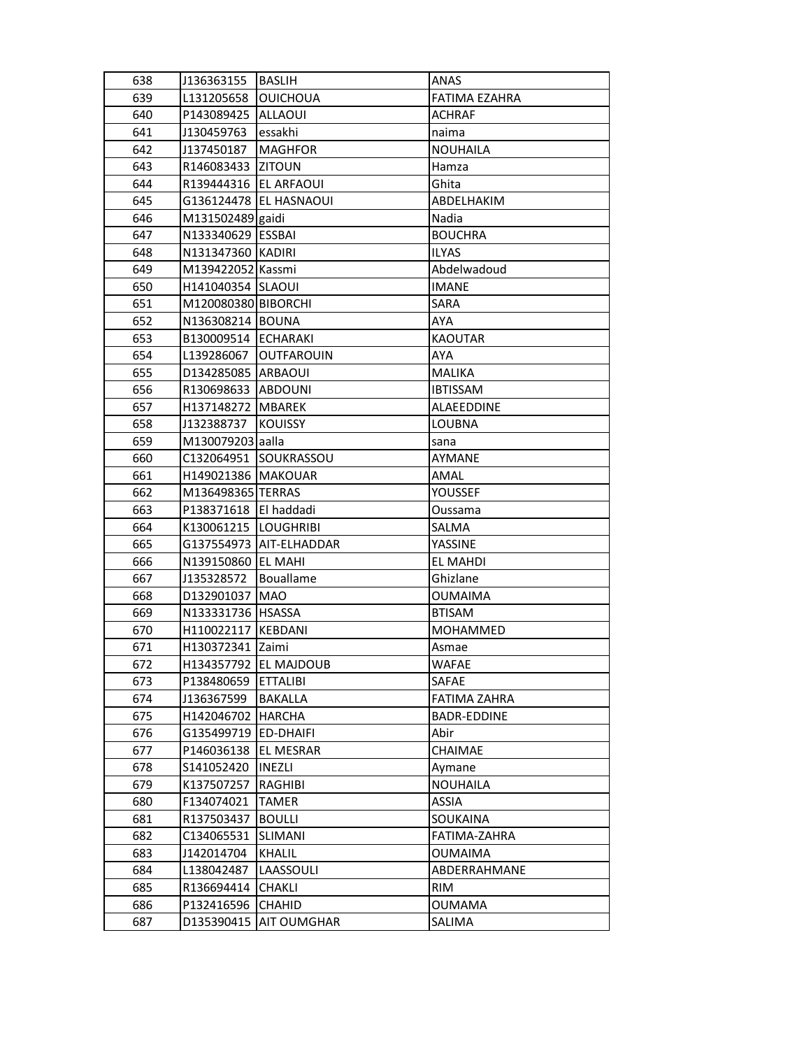| 639<br>L131205658<br><b>OUICHOUA</b><br>FATIMA EZAHRA<br>640<br>P143089425<br><b>ALLAOUI</b><br><b>ACHRAF</b><br>641<br>J130459763<br>essakhi<br>naima<br>642<br><b>MAGHFOR</b><br>J137450187<br><b>NOUHAILA</b><br>643<br>R146083433<br><b>ZITOUN</b><br>Hamza<br>644<br>R139444316 EL ARFAOUI<br>Ghita<br>645<br>G136124478   EL HASNAOUI<br>ABDELHAKIM<br>646<br>M131502489 gaidi<br>Nadia<br>N133340629 ESSBAI<br>647<br><b>BOUCHRA</b><br>648<br>N131347360 KADIRI<br><b>ILYAS</b><br>649<br>M139422052 Kassmi<br>Abdelwadoud<br>650<br>H141040354 SLAOUI<br><b>IMANE</b><br>651<br>M120080380 BIBORCHI<br>SARA<br>652<br>N136308214 BOUNA<br><b>AYA</b><br>B130009514 ECHARAKI<br>653<br><b>KAOUTAR</b><br>654<br>L139286067<br><b>OUTFAROUIN</b><br><b>AYA</b><br>655<br>D134285085 ARBAOUI<br><b>MALIKA</b><br>656<br>R130698633 ABDOUNI<br><b>IBTISSAM</b><br>H137148272 MBAREK | 638 | J136363155 | <b>BASLIH</b> | ANAS       |
|------------------------------------------------------------------------------------------------------------------------------------------------------------------------------------------------------------------------------------------------------------------------------------------------------------------------------------------------------------------------------------------------------------------------------------------------------------------------------------------------------------------------------------------------------------------------------------------------------------------------------------------------------------------------------------------------------------------------------------------------------------------------------------------------------------------------------------------------------------------------------------------|-----|------------|---------------|------------|
|                                                                                                                                                                                                                                                                                                                                                                                                                                                                                                                                                                                                                                                                                                                                                                                                                                                                                          |     |            |               |            |
|                                                                                                                                                                                                                                                                                                                                                                                                                                                                                                                                                                                                                                                                                                                                                                                                                                                                                          |     |            |               |            |
|                                                                                                                                                                                                                                                                                                                                                                                                                                                                                                                                                                                                                                                                                                                                                                                                                                                                                          |     |            |               |            |
|                                                                                                                                                                                                                                                                                                                                                                                                                                                                                                                                                                                                                                                                                                                                                                                                                                                                                          |     |            |               |            |
|                                                                                                                                                                                                                                                                                                                                                                                                                                                                                                                                                                                                                                                                                                                                                                                                                                                                                          |     |            |               |            |
|                                                                                                                                                                                                                                                                                                                                                                                                                                                                                                                                                                                                                                                                                                                                                                                                                                                                                          |     |            |               |            |
|                                                                                                                                                                                                                                                                                                                                                                                                                                                                                                                                                                                                                                                                                                                                                                                                                                                                                          |     |            |               |            |
|                                                                                                                                                                                                                                                                                                                                                                                                                                                                                                                                                                                                                                                                                                                                                                                                                                                                                          |     |            |               |            |
|                                                                                                                                                                                                                                                                                                                                                                                                                                                                                                                                                                                                                                                                                                                                                                                                                                                                                          |     |            |               |            |
|                                                                                                                                                                                                                                                                                                                                                                                                                                                                                                                                                                                                                                                                                                                                                                                                                                                                                          |     |            |               |            |
|                                                                                                                                                                                                                                                                                                                                                                                                                                                                                                                                                                                                                                                                                                                                                                                                                                                                                          |     |            |               |            |
|                                                                                                                                                                                                                                                                                                                                                                                                                                                                                                                                                                                                                                                                                                                                                                                                                                                                                          |     |            |               |            |
|                                                                                                                                                                                                                                                                                                                                                                                                                                                                                                                                                                                                                                                                                                                                                                                                                                                                                          |     |            |               |            |
|                                                                                                                                                                                                                                                                                                                                                                                                                                                                                                                                                                                                                                                                                                                                                                                                                                                                                          |     |            |               |            |
|                                                                                                                                                                                                                                                                                                                                                                                                                                                                                                                                                                                                                                                                                                                                                                                                                                                                                          |     |            |               |            |
|                                                                                                                                                                                                                                                                                                                                                                                                                                                                                                                                                                                                                                                                                                                                                                                                                                                                                          |     |            |               |            |
|                                                                                                                                                                                                                                                                                                                                                                                                                                                                                                                                                                                                                                                                                                                                                                                                                                                                                          |     |            |               |            |
|                                                                                                                                                                                                                                                                                                                                                                                                                                                                                                                                                                                                                                                                                                                                                                                                                                                                                          |     |            |               |            |
|                                                                                                                                                                                                                                                                                                                                                                                                                                                                                                                                                                                                                                                                                                                                                                                                                                                                                          | 657 |            |               | ALAEEDDINE |
| 658<br>J132388737<br><b>KOUISSY</b><br>LOUBNA                                                                                                                                                                                                                                                                                                                                                                                                                                                                                                                                                                                                                                                                                                                                                                                                                                            |     |            |               |            |
| 659<br>M130079203 aalla<br>sana                                                                                                                                                                                                                                                                                                                                                                                                                                                                                                                                                                                                                                                                                                                                                                                                                                                          |     |            |               |            |
| 660<br>C132064951 SOUKRASSOU<br>AYMANE                                                                                                                                                                                                                                                                                                                                                                                                                                                                                                                                                                                                                                                                                                                                                                                                                                                   |     |            |               |            |
| 661<br>H149021386   MAKOUAR<br>AMAL                                                                                                                                                                                                                                                                                                                                                                                                                                                                                                                                                                                                                                                                                                                                                                                                                                                      |     |            |               |            |
| 662<br>M136498365 TERRAS<br><b>YOUSSEF</b>                                                                                                                                                                                                                                                                                                                                                                                                                                                                                                                                                                                                                                                                                                                                                                                                                                               |     |            |               |            |
| 663<br>P138371618   El haddadi<br>Oussama                                                                                                                                                                                                                                                                                                                                                                                                                                                                                                                                                                                                                                                                                                                                                                                                                                                |     |            |               |            |
| 664<br>K130061215   LOUGHRIBI<br>SALMA                                                                                                                                                                                                                                                                                                                                                                                                                                                                                                                                                                                                                                                                                                                                                                                                                                                   |     |            |               |            |
| 665<br>G137554973   AIT-ELHADDAR<br>YASSINE                                                                                                                                                                                                                                                                                                                                                                                                                                                                                                                                                                                                                                                                                                                                                                                                                                              |     |            |               |            |
| 666<br>N139150860 EL MAHI<br>EL MAHDI                                                                                                                                                                                                                                                                                                                                                                                                                                                                                                                                                                                                                                                                                                                                                                                                                                                    |     |            |               |            |
| 667<br>Bouallame<br>Ghizlane<br>J135328572                                                                                                                                                                                                                                                                                                                                                                                                                                                                                                                                                                                                                                                                                                                                                                                                                                               |     |            |               |            |
| 668<br>D132901037 MAO<br><b>OUMAIMA</b>                                                                                                                                                                                                                                                                                                                                                                                                                                                                                                                                                                                                                                                                                                                                                                                                                                                  |     |            |               |            |
| 669<br>N133331736   HSASSA<br><b>BTISAM</b>                                                                                                                                                                                                                                                                                                                                                                                                                                                                                                                                                                                                                                                                                                                                                                                                                                              |     |            |               |            |
| 670<br>H110022117 KEBDANI<br>MOHAMMED                                                                                                                                                                                                                                                                                                                                                                                                                                                                                                                                                                                                                                                                                                                                                                                                                                                    |     |            |               |            |
| 671<br>H130372341 Zaimi<br>Asmae                                                                                                                                                                                                                                                                                                                                                                                                                                                                                                                                                                                                                                                                                                                                                                                                                                                         |     |            |               |            |
| H134357792 EL MAJDOUB<br>672<br><b>WAFAE</b>                                                                                                                                                                                                                                                                                                                                                                                                                                                                                                                                                                                                                                                                                                                                                                                                                                             |     |            |               |            |
| 673<br>P138480659 ETTALIBI<br>SAFAE                                                                                                                                                                                                                                                                                                                                                                                                                                                                                                                                                                                                                                                                                                                                                                                                                                                      |     |            |               |            |
| 674<br>BAKALLA<br>FATIMA ZAHRA<br>J136367599                                                                                                                                                                                                                                                                                                                                                                                                                                                                                                                                                                                                                                                                                                                                                                                                                                             |     |            |               |            |
| 675<br>H142046702   HARCHA<br><b>BADR-EDDINE</b>                                                                                                                                                                                                                                                                                                                                                                                                                                                                                                                                                                                                                                                                                                                                                                                                                                         |     |            |               |            |
| 676<br>G135499719   ED-DHAIFI<br>Abir                                                                                                                                                                                                                                                                                                                                                                                                                                                                                                                                                                                                                                                                                                                                                                                                                                                    |     |            |               |            |
| 677<br>P146036138<br><b>EL MESRAR</b><br><b>CHAIMAE</b>                                                                                                                                                                                                                                                                                                                                                                                                                                                                                                                                                                                                                                                                                                                                                                                                                                  |     |            |               |            |
| 678<br>S141052420<br>INEZLI<br>Aymane                                                                                                                                                                                                                                                                                                                                                                                                                                                                                                                                                                                                                                                                                                                                                                                                                                                    |     |            |               |            |
| 679<br><b>NOUHAILA</b><br>K137507257<br>RAGHIBI                                                                                                                                                                                                                                                                                                                                                                                                                                                                                                                                                                                                                                                                                                                                                                                                                                          |     |            |               |            |
| 680<br>F134074021<br>ASSIA<br><b>TAMER</b>                                                                                                                                                                                                                                                                                                                                                                                                                                                                                                                                                                                                                                                                                                                                                                                                                                               |     |            |               |            |
| 681<br><b>SOUKAINA</b><br>R137503437<br><b>BOULLI</b>                                                                                                                                                                                                                                                                                                                                                                                                                                                                                                                                                                                                                                                                                                                                                                                                                                    |     |            |               |            |
| 682<br>C134065531<br><b>SLIMANI</b><br>FATIMA-ZAHRA                                                                                                                                                                                                                                                                                                                                                                                                                                                                                                                                                                                                                                                                                                                                                                                                                                      |     |            |               |            |
| 683<br>J142014704<br>KHALIL<br><b>OUMAIMA</b>                                                                                                                                                                                                                                                                                                                                                                                                                                                                                                                                                                                                                                                                                                                                                                                                                                            |     |            |               |            |
| ABDERRAHMANE<br>684<br>L138042487<br>LAASSOULI                                                                                                                                                                                                                                                                                                                                                                                                                                                                                                                                                                                                                                                                                                                                                                                                                                           |     |            |               |            |
| 685<br>R136694414<br><b>CHAKLI</b><br>RIM                                                                                                                                                                                                                                                                                                                                                                                                                                                                                                                                                                                                                                                                                                                                                                                                                                                |     |            |               |            |
| 686<br><b>CHAHID</b><br><b>OUMAMA</b><br>P132416596                                                                                                                                                                                                                                                                                                                                                                                                                                                                                                                                                                                                                                                                                                                                                                                                                                      |     |            |               |            |
| D135390415<br><b>AIT OUMGHAR</b><br>687<br>SALIMA                                                                                                                                                                                                                                                                                                                                                                                                                                                                                                                                                                                                                                                                                                                                                                                                                                        |     |            |               |            |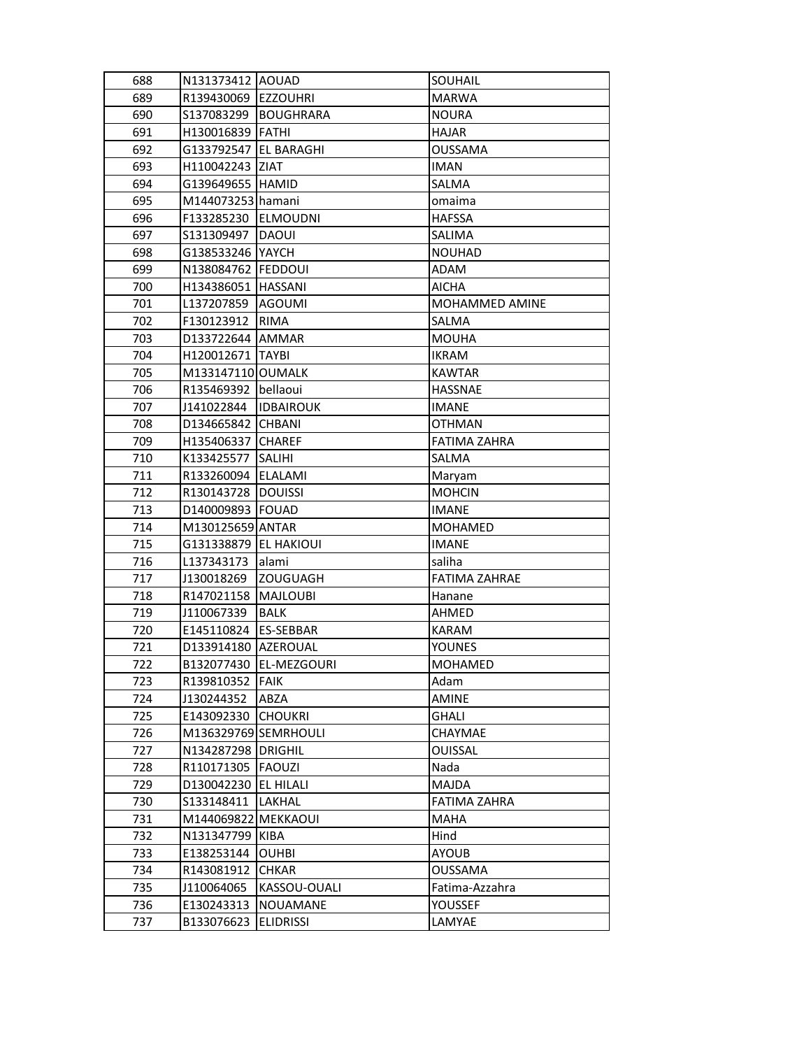| 688 | N131373412 AOUAD        |                        | SOUHAIL              |
|-----|-------------------------|------------------------|----------------------|
| 689 | R139430069 EZZOUHRI     |                        | <b>MARWA</b>         |
| 690 | S137083299              | BOUGHRARA              | <b>NOURA</b>         |
| 691 | H130016839 FATHI        |                        | <b>HAJAR</b>         |
| 692 | G133792547   EL BARAGHI |                        | <b>OUSSAMA</b>       |
| 693 | H110042243 ZIAT         |                        | <b>IMAN</b>          |
| 694 | G139649655  HAMID       |                        | SALMA                |
| 695 | M144073253 hamani       |                        | omaima               |
| 696 | F133285230              | <b>ELMOUDNI</b>        | <b>HAFSSA</b>        |
| 697 | S131309497              | DAOUI                  | SALIMA               |
| 698 | G138533246   YAYCH      |                        | <b>NOUHAD</b>        |
| 699 | N138084762   FEDDOUI    |                        | ADAM                 |
| 700 | H134386051   HASSANI    |                        | <b>AICHA</b>         |
| 701 | L137207859 AGOUMI       |                        | MOHAMMED AMINE       |
| 702 | F130123912 RIMA         |                        | SALMA                |
| 703 | D133722644 AMMAR        |                        | <b>MOUHA</b>         |
| 704 | H120012671   TAYBI      |                        | <b>IKRAM</b>         |
| 705 | M133147110 OUMALK       |                        | <b>KAWTAR</b>        |
| 706 | R135469392 bellaoui     |                        | <b>HASSNAE</b>       |
| 707 | J141022844              | <b>IDBAIROUK</b>       | <b>IMANE</b>         |
| 708 | D134665842 CHBANI       |                        | <b>OTHMAN</b>        |
| 709 | H135406337              | <b>CHAREF</b>          | <b>FATIMA ZAHRA</b>  |
| 710 | K133425577              | <b>SALIHI</b>          | SALMA                |
| 711 | R133260094   ELALAMI    |                        | Maryam               |
| 712 | R130143728   DOUISSI    |                        | <b>MOHCIN</b>        |
| 713 | D140009893   FOUAD      |                        | <b>IMANE</b>         |
| 714 | M130125659 ANTAR        |                        | <b>MOHAMED</b>       |
| 715 | G131338879   EL HAKIOUI |                        | <b>IMANE</b>         |
| 716 | L137343173              | lalami                 | saliha               |
| 717 | J130018269              | <b>ZOUGUAGH</b>        | <b>FATIMA ZAHRAE</b> |
| 718 | R147021158              | <b>MAJLOUBI</b>        | Hanane               |
| 719 | J110067339              | <b>BALK</b>            | <b>AHMED</b>         |
| 720 | E145110824   ES-SEBBAR  |                        | <b>KARAM</b>         |
| 721 | D133914180 AZEROUAL     |                        | <b>YOUNES</b>        |
| 722 |                         | B132077430 EL-MEZGOURI | MOHAMED              |
| 723 | R139810352 FAIK         |                        | Adam                 |
| 724 | J130244352              | ABZA                   | <b>AMINE</b>         |
| 725 | E143092330              | <b>CHOUKRI</b>         | GHALI                |
| 726 | M136329769 SEMRHOULI    |                        | CHAYMAE              |
| 727 | N134287298   DRIGHIL    |                        | <b>OUISSAL</b>       |
| 728 | R110171305              | <b>FAOUZI</b>          | Nada                 |
| 729 | D130042230              | EL HILALI              | <b>MAJDA</b>         |
| 730 | S133148411              | <b>LAKHAL</b>          | <b>FATIMA ZAHRA</b>  |
| 731 | M144069822 MEKKAOUI     |                        | MAHA                 |
| 732 | N131347799 KIBA         |                        | Hind                 |
| 733 | E138253144              | <b>OUHBI</b>           | AYOUB                |
| 734 | R143081912              | <b>CHKAR</b>           | OUSSAMA              |
| 735 | J110064065              | KASSOU-OUALI           | Fatima-Azzahra       |
| 736 | E130243313              | NOUAMANE               | YOUSSEF              |
| 737 | B133076623              | <b>ELIDRISSI</b>       | LAMYAE               |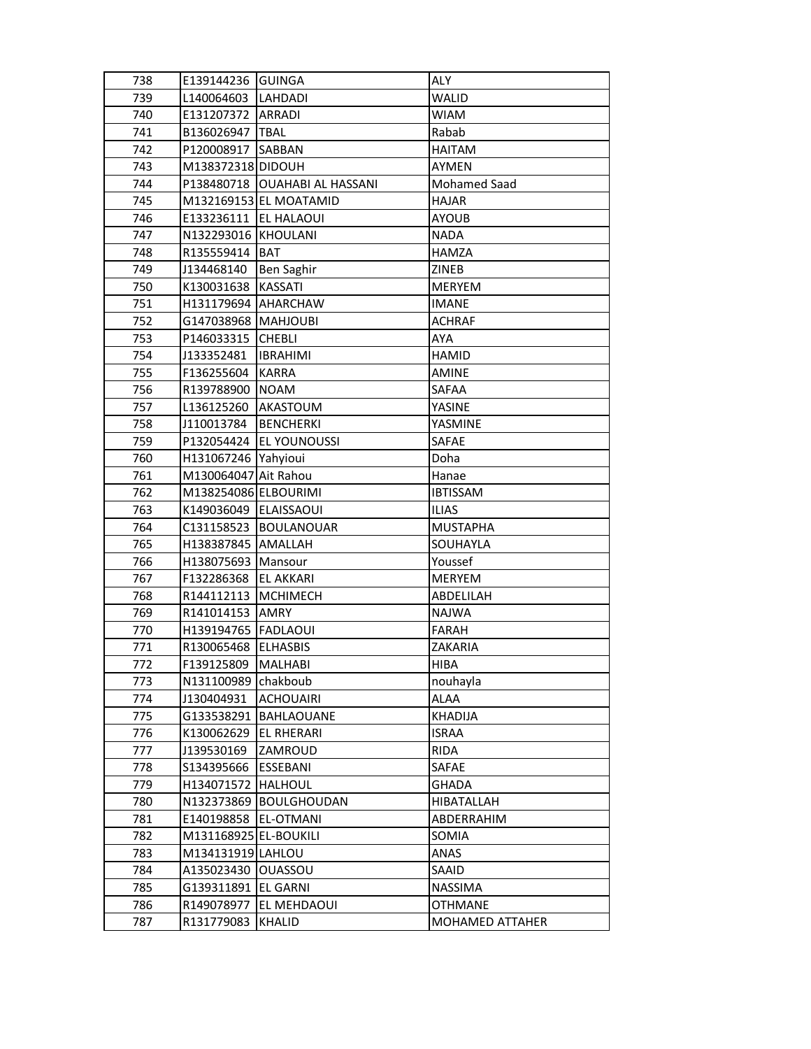| 738<br>739 | E139144236 GUINGA<br>L140064603 | <b>LAHDADI</b>            | ALY<br><b>WALID</b> |
|------------|---------------------------------|---------------------------|---------------------|
| 740        | E131207372                      | <b>ARRADI</b>             | <b>WIAM</b>         |
| 741        |                                 | <b>TBAL</b>               | Rabab               |
|            | B136026947                      |                           |                     |
| 742        | P120008917                      | <b>SABBAN</b>             | <b>HAITAM</b>       |
| 743        | M138372318 DIDOUH               |                           | AYMEN               |
| 744        | P138480718                      | <b>OUAHABI AL HASSANI</b> | <b>Mohamed Saad</b> |
| 745        |                                 | M132169153 EL MOATAMID    | <b>HAJAR</b>        |
| 746        | E133236111                      | <b>EL HALAOUI</b>         | <b>AYOUB</b>        |
| 747        | N132293016                      | <b>KHOULANI</b>           | <b>NADA</b>         |
| 748        | R135559414                      | <b>BAT</b>                | <b>HAMZA</b>        |
| 749        | J134468140                      | Ben Saghir                | ZINEB               |
| 750        | K130031638                      | <b>KASSATI</b>            | MERYEM              |
| 751        | H131179694 AHARCHAW             |                           | <b>IMANE</b>        |
| 752        | G147038968   MAHJOUBI           |                           | <b>ACHRAF</b>       |
| 753        | P146033315                      | <b>CHEBLI</b>             | AYA                 |
| 754        | J133352481                      | <b>IBRAHIMI</b>           | HAMID               |
| 755        | F136255604                      | <b>KARRA</b>              | <b>AMINE</b>        |
| 756        | R139788900                      | <b>NOAM</b>               | <b>SAFAA</b>        |
| 757        | L136125260                      | <b>AKASTOUM</b>           | YASINE              |
| 758        | J110013784                      | <b>BENCHERKI</b>          | YASMINE             |
| 759        | P132054424                      | <b>EL YOUNOUSSI</b>       | SAFAE               |
| 760        | H131067246 Yahyioui             |                           | Doha                |
| 761        | M130064047 Ait Rahou            |                           | Hanae               |
| 762        | M138254086 ELBOURIMI            |                           | <b>IBTISSAM</b>     |
| 763        | K149036049 ELAISSAOUI           |                           | <b>ILIAS</b>        |
| 764        | C131158523                      | BOULANOUAR                | <b>MUSTAPHA</b>     |
| 765        | H138387845   AMALLAH            |                           | SOUHAYLA            |
| 766        | H138075693                      | Mansour                   | Youssef             |
| 767        | F132286368                      | <b>EL AKKARI</b>          | MERYEM              |
| 768        | R144112113                      | <b>MCHIMECH</b>           | ABDELILAH           |
| 769        | R141014153                      | <b>AMRY</b>               | <b>NAJWA</b>        |
| 770        | H139194765   FADLAOUI           |                           | FARAH               |
| 771        | R130065468 ELHASBIS             |                           | ZAKARIA             |
| 772        | F139125809                      | <b>MALHABI</b>            | HIBA                |
| 773        | N131100989                      | chakboub                  | nouhayla            |
| 774        | J130404931                      | <b>ACHOUAIRI</b>          | ALAA                |
| 775        | G133538291                      | <b>BAHLAOUANE</b>         | KHADIJA             |
| 776        | K130062629                      | EL RHERARI                | <b>ISRAA</b>        |
| 777        | J139530169                      | ZAMROUD                   | RIDA                |
| 778        | \$134395666                     | <b>ESSEBANI</b>           | <b>SAFAE</b>        |
| 779        | H134071572                      | <b>HALHOUL</b>            | GHADA               |
| 780        | N132373869                      | BOULGHOUDAN               | HIBATALLAH          |
| 781        | E140198858                      | EL-OTMANI                 | ABDERRAHIM          |
| 782        | M131168925 EL-BOUKILI           |                           | SOMIA               |
| 783        | M134131919 LAHLOU               |                           | ANAS                |
| 784        | A135023430                      | OUASSOU                   | SAAID               |
| 785        | G139311891                      | <b>EL GARNI</b>           | <b>NASSIMA</b>      |
| 786        | R149078977                      | EL MEHDAOUI               | <b>OTHMANE</b>      |
| 787        | R131779083                      | <b>KHALID</b>             | MOHAMED ATTAHER     |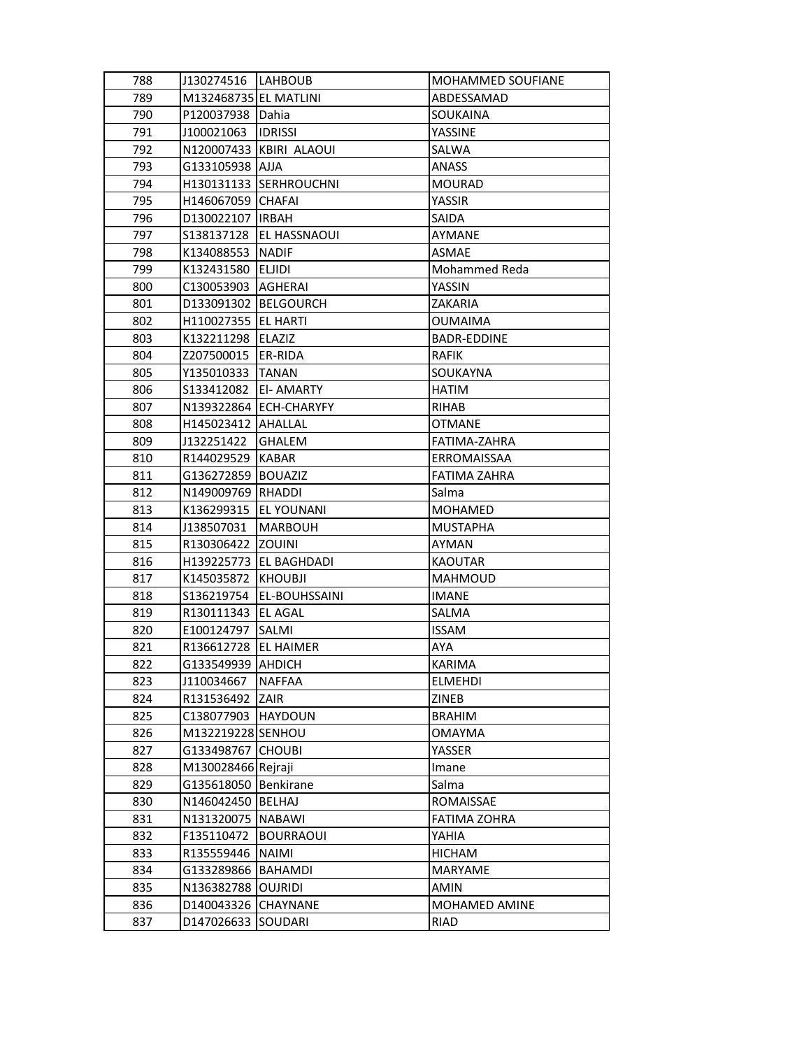| 788 | J130274516  LAHBOUB    |                          | MOHAMMED SOUFIANE   |
|-----|------------------------|--------------------------|---------------------|
| 789 | M132468735 EL MATLINI  |                          | ABDESSAMAD          |
| 790 | P120037938 Dahia       |                          | SOUKAINA            |
| 791 | J100021063             | <b>IDRISSI</b>           | YASSINE             |
| 792 |                        | N120007433 KBIRI ALAOUI  | SALWA               |
| 793 | G133105938  AJJA       |                          | <b>ANASS</b>        |
| 794 |                        | H130131133 SERHROUCHNI   | <b>MOURAD</b>       |
| 795 | H146067059 CHAFAI      |                          | YASSIR              |
| 796 | D130022107 IIRBAH      |                          | SAIDA               |
| 797 | S138137128             | <b>EL HASSNAOUI</b>      | AYMANE              |
| 798 | K134088553             | <b>NADIF</b>             | ASMAE               |
| 799 | K132431580 ELJIDI      |                          | Mohammed Reda       |
| 800 | C130053903  AGHERAI    |                          | YASSIN              |
| 801 | D133091302 BELGOURCH   |                          | ZAKARIA             |
| 802 | H110027355   EL HARTI  |                          | <b>OUMAIMA</b>      |
| 803 | K132211298 ELAZIZ      |                          | <b>BADR-EDDINE</b>  |
| 804 | Z207500015             | <b>ER-RIDA</b>           | <b>RAFIK</b>        |
| 805 | Y135010333  TANAN      |                          | SOUKAYNA            |
| 806 | S133412082             | <b>EI-AMARTY</b>         | <b>HATIM</b>        |
| 807 |                        | N139322864 ECH-CHARYFY   | <b>RIHAB</b>        |
| 808 | H145023412 AHALLAL     |                          | <b>OTMANE</b>       |
| 809 | J132251422             | <b>GHALEM</b>            | FATIMA-ZAHRA        |
| 810 | R144029529             | <b>KABAR</b>             | ERROMAISSAA         |
| 811 | G136272859 BOUAZIZ     |                          | <b>FATIMA ZAHRA</b> |
| 812 | N149009769 RHADDI      |                          | Salma               |
| 813 | K136299315             | JEL YOUNANI              | <b>MOHAMED</b>      |
| 814 | J138507031             | <b>MARBOUH</b>           | <b>MUSTAPHA</b>     |
| 815 | R130306422             | <b>ZOUINI</b>            | AYMAN               |
| 816 |                        | H139225773   EL BAGHDADI | <b>KAOUTAR</b>      |
| 817 | K145035872             | <b>KHOUBJI</b>           | MAHMOUD             |
| 818 | S136219754             | <b>EL-BOUHSSAINI</b>     | <b>IMANE</b>        |
| 819 | R130111343             | <b>EL AGAL</b>           | <b>SALMA</b>        |
| 820 | E100124797 SALMI       |                          | <b>ISSAM</b>        |
| 821 | R136612728   EL HAIMER |                          | AYA                 |
| 822 | G133549939 AHDICH      |                          | KARIMA              |
| 823 | J110034667             | <b>NAFFAA</b>            | ELMEHDI             |
| 824 | R131536492             | ZAIR                     | ZINEB               |
| 825 | C138077903             | HAYDOUN                  | <b>BRAHIM</b>       |
| 826 | M132219228 SENHOU      |                          | <b>OMAYMA</b>       |
| 827 | G133498767             | <b>CHOUBI</b>            | YASSER              |
| 828 | M130028466 Rejraji     |                          | Imane               |
| 829 | G135618050             | Benkirane                | Salma               |
| 830 | N146042450             | <b>BELHAJ</b>            | ROMAISSAE           |
| 831 | N131320075             | <b>NABAWI</b>            | FATIMA ZOHRA        |
| 832 | F135110472             | <b>BOURRAOUI</b>         | YAHIA               |
| 833 | R135559446             | <b>NAIMI</b>             | <b>HICHAM</b>       |
| 834 | G133289866             | <b>BAHAMDI</b>           | <b>MARYAME</b>      |
| 835 | N136382788             | <b>OUJRIDI</b>           | AMIN                |
| 836 | D140043326             | <b>CHAYNANE</b>          | MOHAMED AMINE       |
| 837 | D147026633             | <b>SOUDARI</b>           | RIAD                |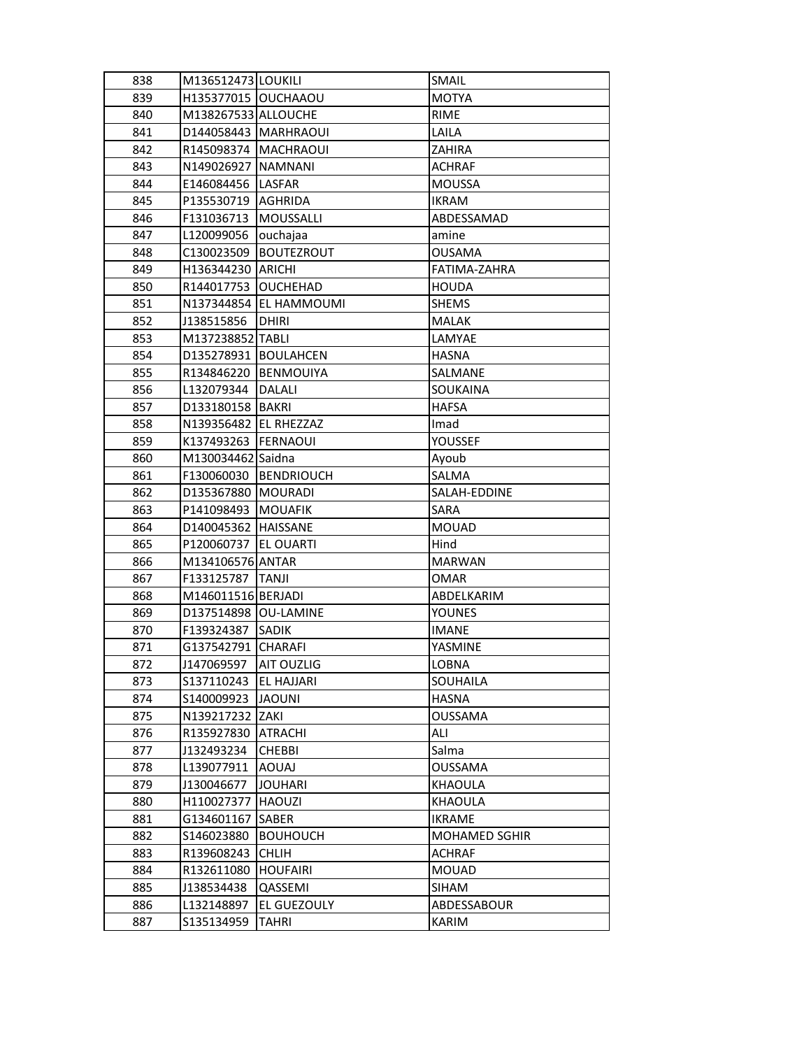| 838 | M136512473 LOUKILI     |                        | SMAIL                |
|-----|------------------------|------------------------|----------------------|
| 839 | H135377015 OUCHAAOU    |                        | <b>MOTYA</b>         |
| 840 | M138267533 ALLOUCHE    |                        | <b>RIME</b>          |
| 841 | D144058443   MARHRAOUI |                        | LAILA                |
| 842 | R145098374 MACHRAOUI   |                        | ZAHIRA               |
| 843 | N149026927   NAMNANI   |                        | <b>ACHRAF</b>        |
| 844 | E146084456   LASFAR    |                        | <b>MOUSSA</b>        |
| 845 | P135530719             | <b>AGHRIDA</b>         | <b>IKRAM</b>         |
| 846 | F131036713             | MOUSSALLI              | ABDESSAMAD           |
| 847 | L120099056             | ouchajaa               | amine                |
| 848 | C130023509             | BOUTEZROUT             | <b>OUSAMA</b>        |
| 849 | H136344230   ARICHI    |                        | FATIMA-ZAHRA         |
| 850 | R144017753 OUCHEHAD    |                        | <b>HOUDA</b>         |
| 851 |                        | N137344854 EL HAMMOUMI | <b>SHEMS</b>         |
| 852 | J138515856             | DHIRI                  | <b>MALAK</b>         |
| 853 | M137238852 TABLI       |                        | LAMYAE               |
| 854 | D135278931 BOULAHCEN   |                        | <b>HASNA</b>         |
| 855 | R134846220   BENMOUIYA |                        | SALMANE              |
| 856 | L132079344             | <b>DALALI</b>          | SOUKAINA             |
| 857 | D133180158   BAKRI     |                        | <b>HAFSA</b>         |
| 858 | N139356482 EL RHEZZAZ  |                        | Imad                 |
| 859 | K137493263             | FERNAOUI               | YOUSSEF              |
| 860 | M130034462 Saidna      |                        | Ayoub                |
| 861 |                        | F130060030 BENDRIOUCH  | SALMA                |
| 862 | D135367880   MOURADI   |                        | SALAH-EDDINE         |
| 863 | P141098493   MOUAFIK   |                        | SARA                 |
| 864 | D140045362 HAISSANE    |                        | <b>MOUAD</b>         |
| 865 | P120060737 EL OUARTI   |                        | Hind                 |
| 866 | M134106576 ANTAR       |                        | <b>MARWAN</b>        |
| 867 | F133125787             | <b>TANJI</b>           | <b>OMAR</b>          |
| 868 | M146011516 BERJADI     |                        | ABDELKARIM           |
| 869 | D137514898 OU-LAMINE   |                        | <b>YOUNES</b>        |
| 870 | F139324387             | <b>SADIK</b>           | <b>IMANE</b>         |
| 871 | G137542791 CHARAFI     |                        | YASMINE              |
| 872 | J147069597             | <b>AIT OUZLIG</b>      | LOBNA                |
| 873 | \$137110243            | <b>EL HAJJARI</b>      | SOUHAILA             |
| 874 | S140009923             | <b>JAOUNI</b>          | HASNA                |
| 875 | N139217232             | ZAKI                   | <b>OUSSAMA</b>       |
| 876 | R135927830             | <b>ATRACHI</b>         | ALI                  |
| 877 | J132493234             | <b>CHEBBI</b>          | Salma                |
| 878 | L139077911             | <b>AOUAJ</b>           | <b>OUSSAMA</b>       |
| 879 | J130046677             | <b>JOUHARI</b>         | KHAOULA              |
| 880 | H110027377             | HAOUZI                 | <b>KHAOULA</b>       |
| 881 | G134601167             | <b>SABER</b>           | <b>IKRAME</b>        |
| 882 | S146023880             | <b>BOUHOUCH</b>        | <b>MOHAMED SGHIR</b> |
| 883 | R139608243             | <b>CHLIH</b>           | <b>ACHRAF</b>        |
| 884 | R132611080             | <b>HOUFAIRI</b>        | <b>MOUAD</b>         |
| 885 | J138534438             | QASSEMI                | <b>SIHAM</b>         |
| 886 | L132148897             | EL GUEZOULY            | ABDESSABOUR          |
| 887 | S135134959             | TAHRI                  | KARIM                |